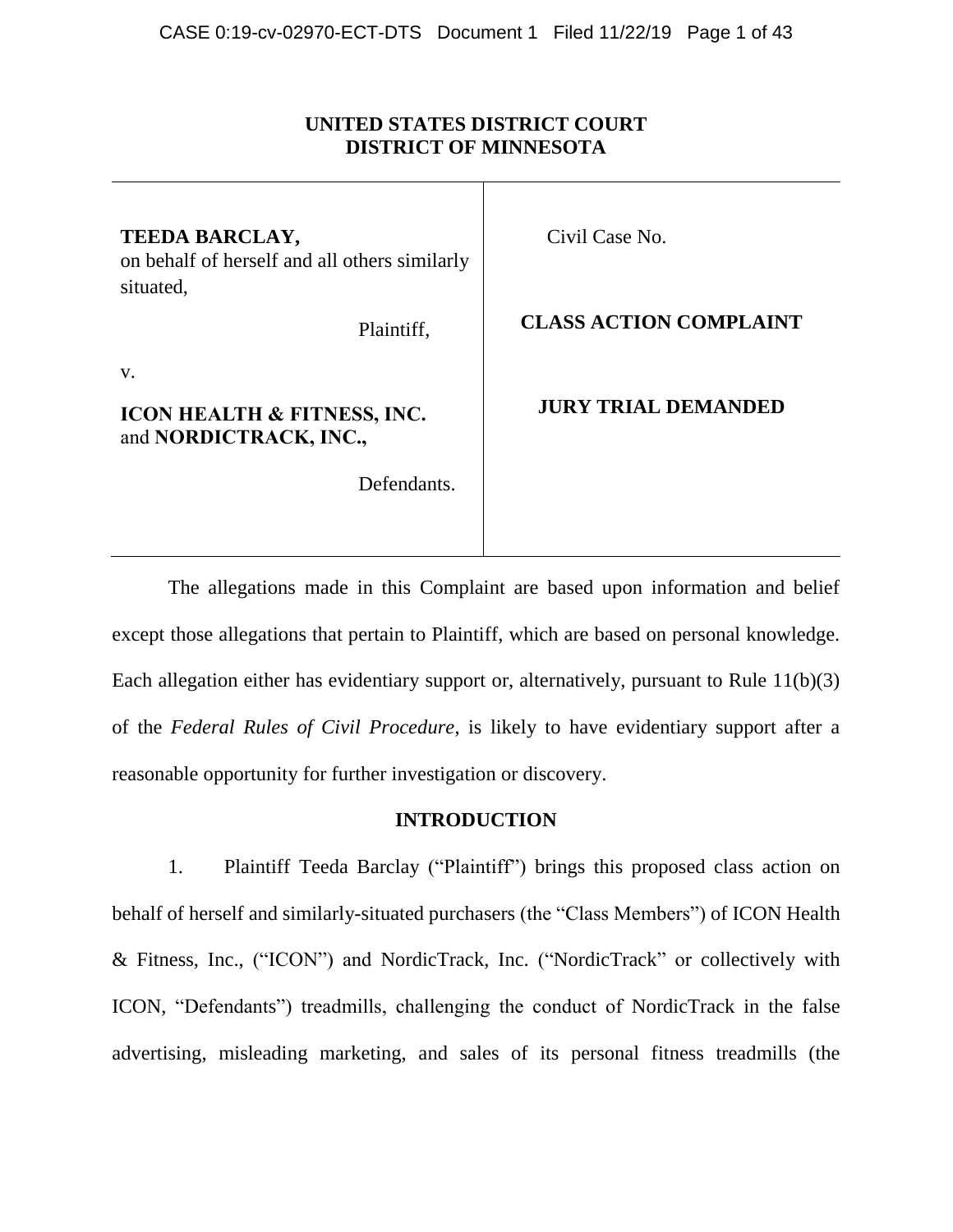## **UNITED STATES DISTRICT COURT DISTRICT OF MINNESOTA**

| <b>TEEDA BARCLAY,</b><br>on behalf of herself and all others similarly<br>situated, | Civil Case No.                |
|-------------------------------------------------------------------------------------|-------------------------------|
| Plaintiff,                                                                          | <b>CLASS ACTION COMPLAINT</b> |
| V.<br><b>ICON HEALTH &amp; FITNESS, INC.</b><br>and NORDICTRACK, INC.,              | <b>JURY TRIAL DEMANDED</b>    |
| Defendants.                                                                         |                               |
|                                                                                     |                               |

The allegations made in this Complaint are based upon information and belief except those allegations that pertain to Plaintiff, which are based on personal knowledge. Each allegation either has evidentiary support or, alternatively, pursuant to Rule 11(b)(3) of the *Federal Rules of Civil Procedure*, is likely to have evidentiary support after a reasonable opportunity for further investigation or discovery.

### **INTRODUCTION**

1. Plaintiff Teeda Barclay ("Plaintiff") brings this proposed class action on behalf of herself and similarly-situated purchasers (the "Class Members") of ICON Health & Fitness, Inc., ("ICON") and NordicTrack, Inc. ("NordicTrack" or collectively with ICON, "Defendants") treadmills, challenging the conduct of NordicTrack in the false advertising, misleading marketing, and sales of its personal fitness treadmills (the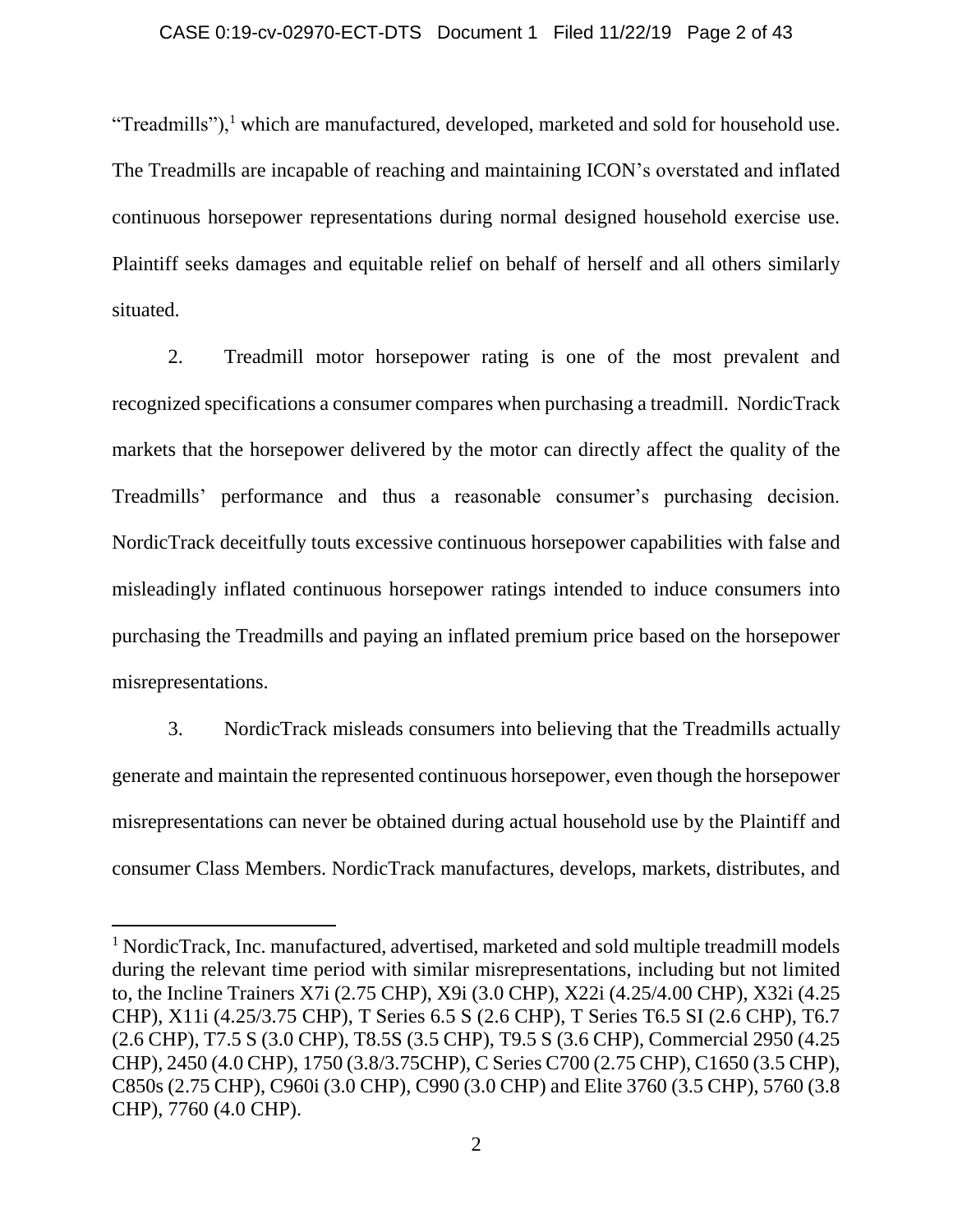### CASE 0:19-cv-02970-ECT-DTS Document 1 Filed 11/22/19 Page 2 of 43

"Treadmills"),<sup>1</sup> which are manufactured, developed, marketed and sold for household use. The Treadmills are incapable of reaching and maintaining ICON's overstated and inflated continuous horsepower representations during normal designed household exercise use. Plaintiff seeks damages and equitable relief on behalf of herself and all others similarly situated.

2. Treadmill motor horsepower rating is one of the most prevalent and recognized specifications a consumer compares when purchasing a treadmill. NordicTrack markets that the horsepower delivered by the motor can directly affect the quality of the Treadmills' performance and thus a reasonable consumer's purchasing decision. NordicTrack deceitfully touts excessive continuous horsepower capabilities with false and misleadingly inflated continuous horsepower ratings intended to induce consumers into purchasing the Treadmills and paying an inflated premium price based on the horsepower misrepresentations.

3. NordicTrack misleads consumers into believing that the Treadmills actually generate and maintain the represented continuous horsepower, even though the horsepower misrepresentations can never be obtained during actual household use by the Plaintiff and consumer Class Members. NordicTrack manufactures, develops, markets, distributes, and

<sup>&</sup>lt;sup>1</sup> NordicTrack, Inc. manufactured, advertised, marketed and sold multiple treadmill models during the relevant time period with similar misrepresentations, including but not limited to, the Incline Trainers X7i (2.75 CHP), X9i (3.0 CHP), X22i (4.25/4.00 CHP), X32i (4.25 CHP), X11i (4.25/3.75 CHP), T Series 6.5 S (2.6 CHP), T Series T6.5 SI (2.6 CHP), T6.7 (2.6 CHP), T7.5 S (3.0 CHP), T8.5S (3.5 CHP), T9.5 S (3.6 CHP), Commercial 2950 (4.25 CHP), 2450 (4.0 CHP), 1750 (3.8/3.75CHP), C Series C700 (2.75 CHP), C1650 (3.5 CHP), C850s (2.75 CHP), C960i (3.0 CHP), C990 (3.0 CHP) and Elite 3760 (3.5 CHP), 5760 (3.8 CHP), 7760 (4.0 CHP).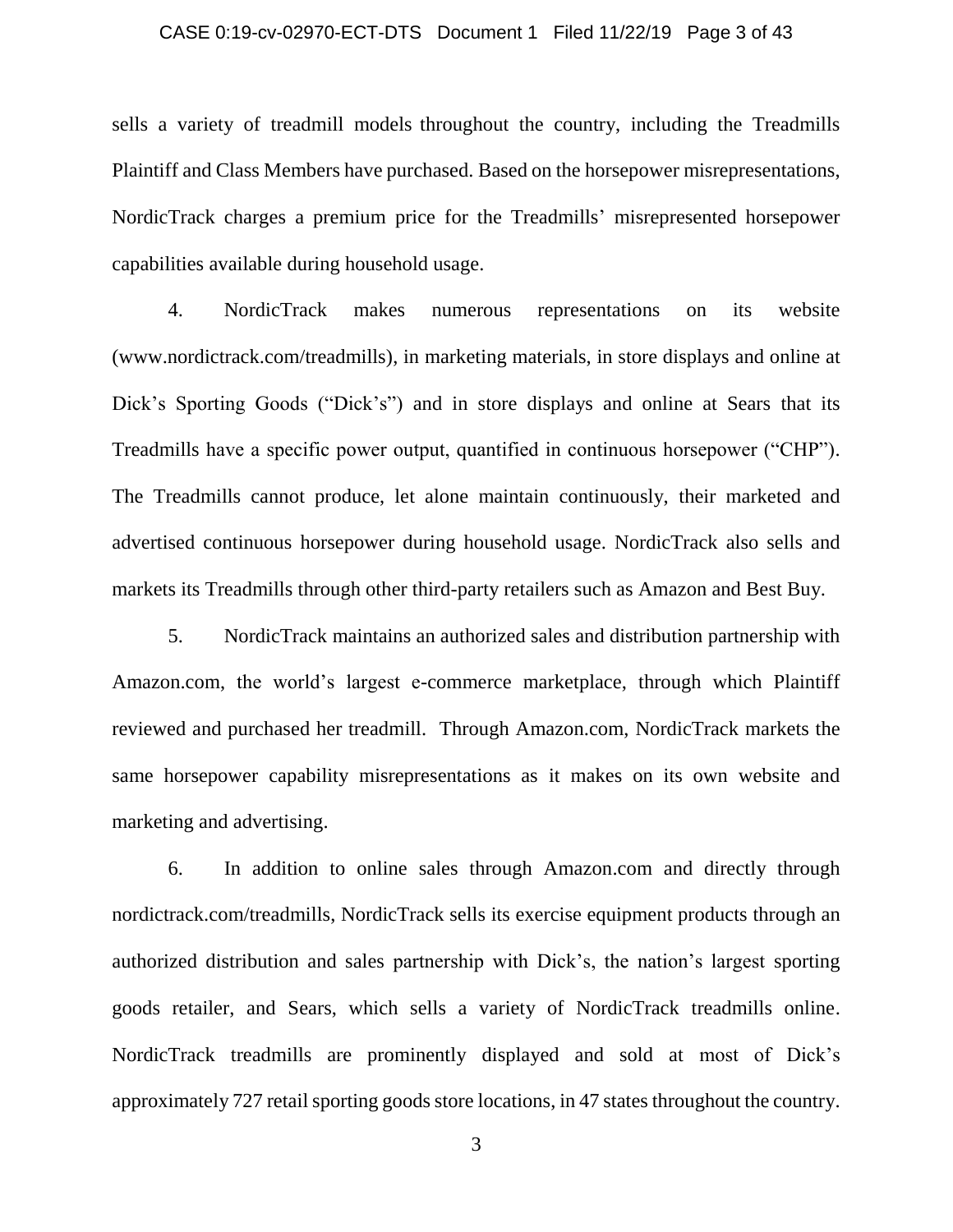## CASE 0:19-cv-02970-ECT-DTS Document 1 Filed 11/22/19 Page 3 of 43

sells a variety of treadmill models throughout the country, including the Treadmills Plaintiff and Class Members have purchased. Based on the horsepower misrepresentations, NordicTrack charges a premium price for the Treadmills' misrepresented horsepower capabilities available during household usage.

4. NordicTrack makes numerous representations on its website (www.nordictrack.com/treadmills), in marketing materials, in store displays and online at Dick's Sporting Goods ("Dick's") and in store displays and online at Sears that its Treadmills have a specific power output, quantified in continuous horsepower ("CHP"). The Treadmills cannot produce, let alone maintain continuously, their marketed and advertised continuous horsepower during household usage. NordicTrack also sells and markets its Treadmills through other third-party retailers such as Amazon and Best Buy.

5. NordicTrack maintains an authorized sales and distribution partnership with Amazon.com, the world's largest e-commerce marketplace, through which Plaintiff reviewed and purchased her treadmill. Through Amazon.com, NordicTrack markets the same horsepower capability misrepresentations as it makes on its own website and marketing and advertising.

6. In addition to online sales through Amazon.com and directly through nordictrack.com/treadmills, NordicTrack sells its exercise equipment products through an authorized distribution and sales partnership with Dick's, the nation's largest sporting goods retailer, and Sears, which sells a variety of NordicTrack treadmills online. NordicTrack treadmills are prominently displayed and sold at most of Dick's approximately 727 retail sporting goods store locations, in 47 states throughout the country.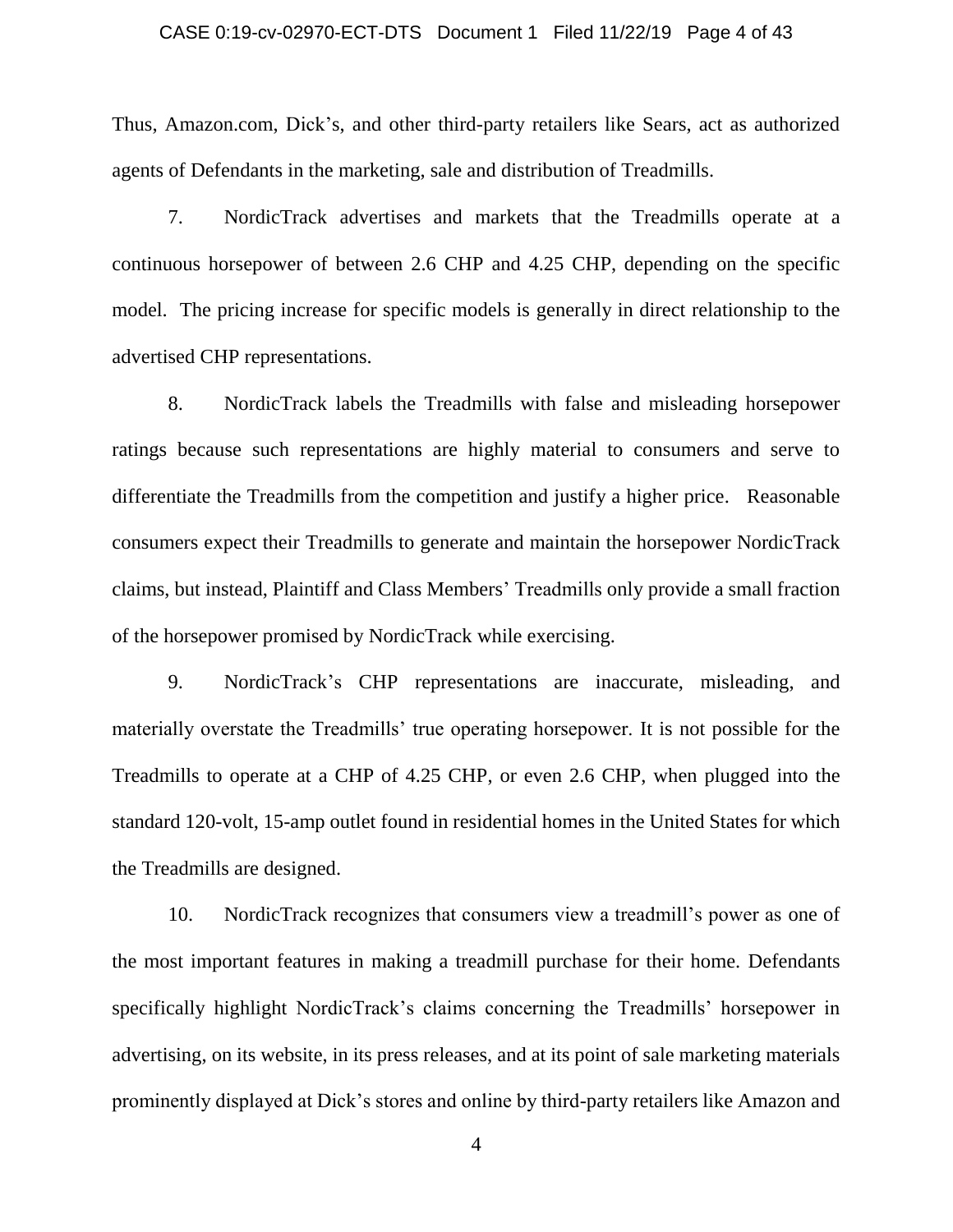# CASE 0:19-cv-02970-ECT-DTS Document 1 Filed 11/22/19 Page 4 of 43

Thus, Amazon.com, Dick's, and other third-party retailers like Sears, act as authorized agents of Defendants in the marketing, sale and distribution of Treadmills.

7. NordicTrack advertises and markets that the Treadmills operate at a continuous horsepower of between 2.6 CHP and 4.25 CHP, depending on the specific model. The pricing increase for specific models is generally in direct relationship to the advertised CHP representations.

8. NordicTrack labels the Treadmills with false and misleading horsepower ratings because such representations are highly material to consumers and serve to differentiate the Treadmills from the competition and justify a higher price. Reasonable consumers expect their Treadmills to generate and maintain the horsepower NordicTrack claims, but instead, Plaintiff and Class Members' Treadmills only provide a small fraction of the horsepower promised by NordicTrack while exercising.

9. NordicTrack's CHP representations are inaccurate, misleading, and materially overstate the Treadmills' true operating horsepower. It is not possible for the Treadmills to operate at a CHP of 4.25 CHP, or even 2.6 CHP, when plugged into the standard 120-volt, 15-amp outlet found in residential homes in the United States for which the Treadmills are designed.

10. NordicTrack recognizes that consumers view a treadmill's power as one of the most important features in making a treadmill purchase for their home. Defendants specifically highlight NordicTrack's claims concerning the Treadmills' horsepower in advertising, on its website, in its press releases, and at its point of sale marketing materials prominently displayed at Dick's stores and online by third-party retailers like Amazon and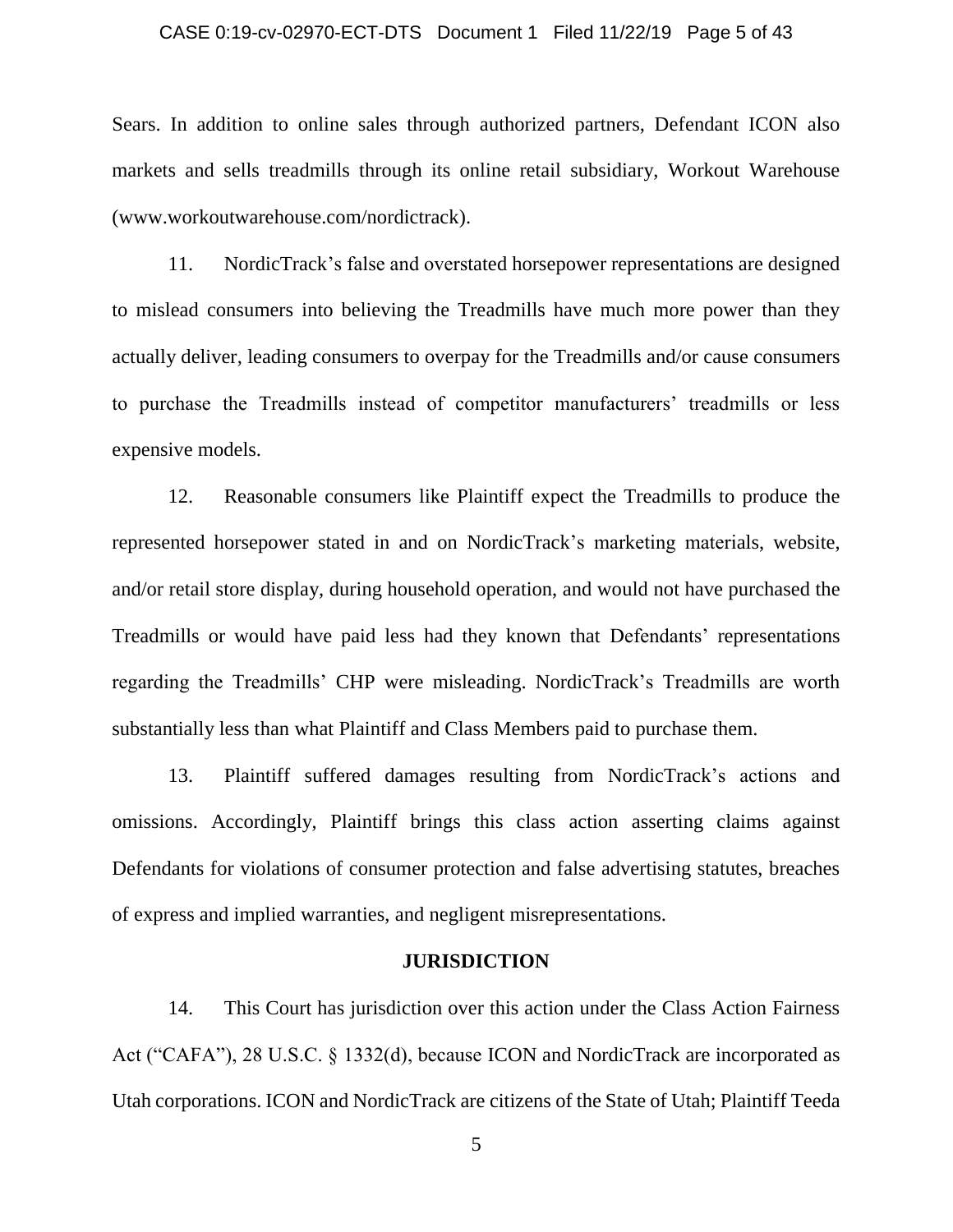### CASE 0:19-cv-02970-ECT-DTS Document 1 Filed 11/22/19 Page 5 of 43

Sears. In addition to online sales through authorized partners, Defendant ICON also markets and sells treadmills through its online retail subsidiary, Workout Warehouse (www.workoutwarehouse.com/nordictrack).

11. NordicTrack's false and overstated horsepower representations are designed to mislead consumers into believing the Treadmills have much more power than they actually deliver, leading consumers to overpay for the Treadmills and/or cause consumers to purchase the Treadmills instead of competitor manufacturers' treadmills or less expensive models.

12. Reasonable consumers like Plaintiff expect the Treadmills to produce the represented horsepower stated in and on NordicTrack's marketing materials, website, and/or retail store display, during household operation, and would not have purchased the Treadmills or would have paid less had they known that Defendants' representations regarding the Treadmills' CHP were misleading. NordicTrack's Treadmills are worth substantially less than what Plaintiff and Class Members paid to purchase them.

13. Plaintiff suffered damages resulting from NordicTrack's actions and omissions. Accordingly, Plaintiff brings this class action asserting claims against Defendants for violations of consumer protection and false advertising statutes, breaches of express and implied warranties, and negligent misrepresentations.

### **JURISDICTION**

14. This Court has jurisdiction over this action under the Class Action Fairness Act ("CAFA"), 28 U.S.C. § 1332(d), because ICON and NordicTrack are incorporated as Utah corporations. ICON and NordicTrack are citizens of the State of Utah; Plaintiff Teeda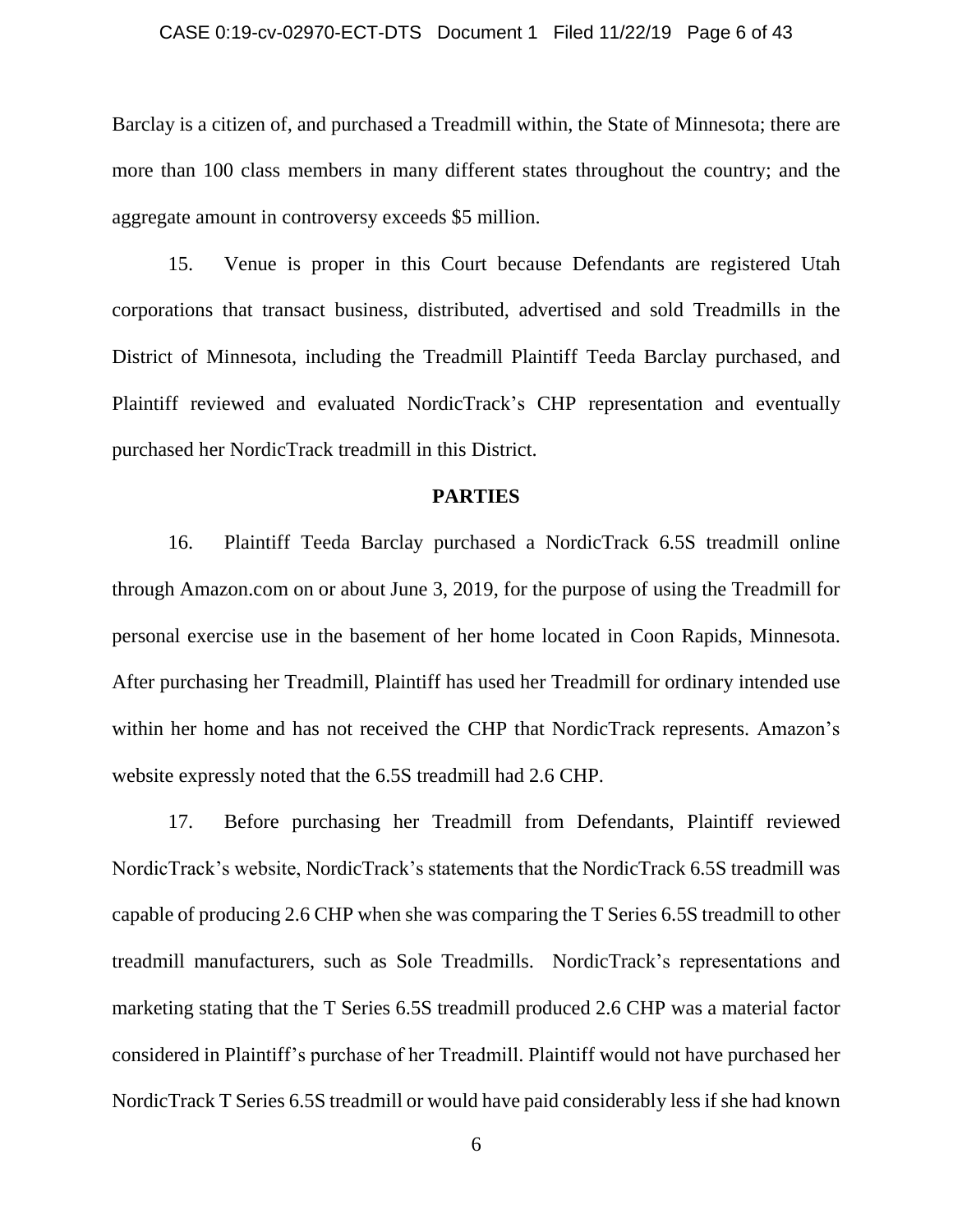# CASE 0:19-cv-02970-ECT-DTS Document 1 Filed 11/22/19 Page 6 of 43

Barclay is a citizen of, and purchased a Treadmill within, the State of Minnesota; there are more than 100 class members in many different states throughout the country; and the aggregate amount in controversy exceeds \$5 million.

15. Venue is proper in this Court because Defendants are registered Utah corporations that transact business, distributed, advertised and sold Treadmills in the District of Minnesota, including the Treadmill Plaintiff Teeda Barclay purchased, and Plaintiff reviewed and evaluated NordicTrack's CHP representation and eventually purchased her NordicTrack treadmill in this District.

### **PARTIES**

16. Plaintiff Teeda Barclay purchased a NordicTrack 6.5S treadmill online through Amazon.com on or about June 3, 2019, for the purpose of using the Treadmill for personal exercise use in the basement of her home located in Coon Rapids, Minnesota. After purchasing her Treadmill, Plaintiff has used her Treadmill for ordinary intended use within her home and has not received the CHP that NordicTrack represents. Amazon's website expressly noted that the 6.5S treadmill had 2.6 CHP.

17. Before purchasing her Treadmill from Defendants, Plaintiff reviewed NordicTrack's website, NordicTrack's statements that the NordicTrack 6.5S treadmill was capable of producing 2.6 CHP when she was comparing the T Series 6.5S treadmill to other treadmill manufacturers, such as Sole Treadmills. NordicTrack's representations and marketing stating that the T Series 6.5S treadmill produced 2.6 CHP was a material factor considered in Plaintiff's purchase of her Treadmill. Plaintiff would not have purchased her NordicTrack T Series 6.5S treadmill or would have paid considerably less if she had known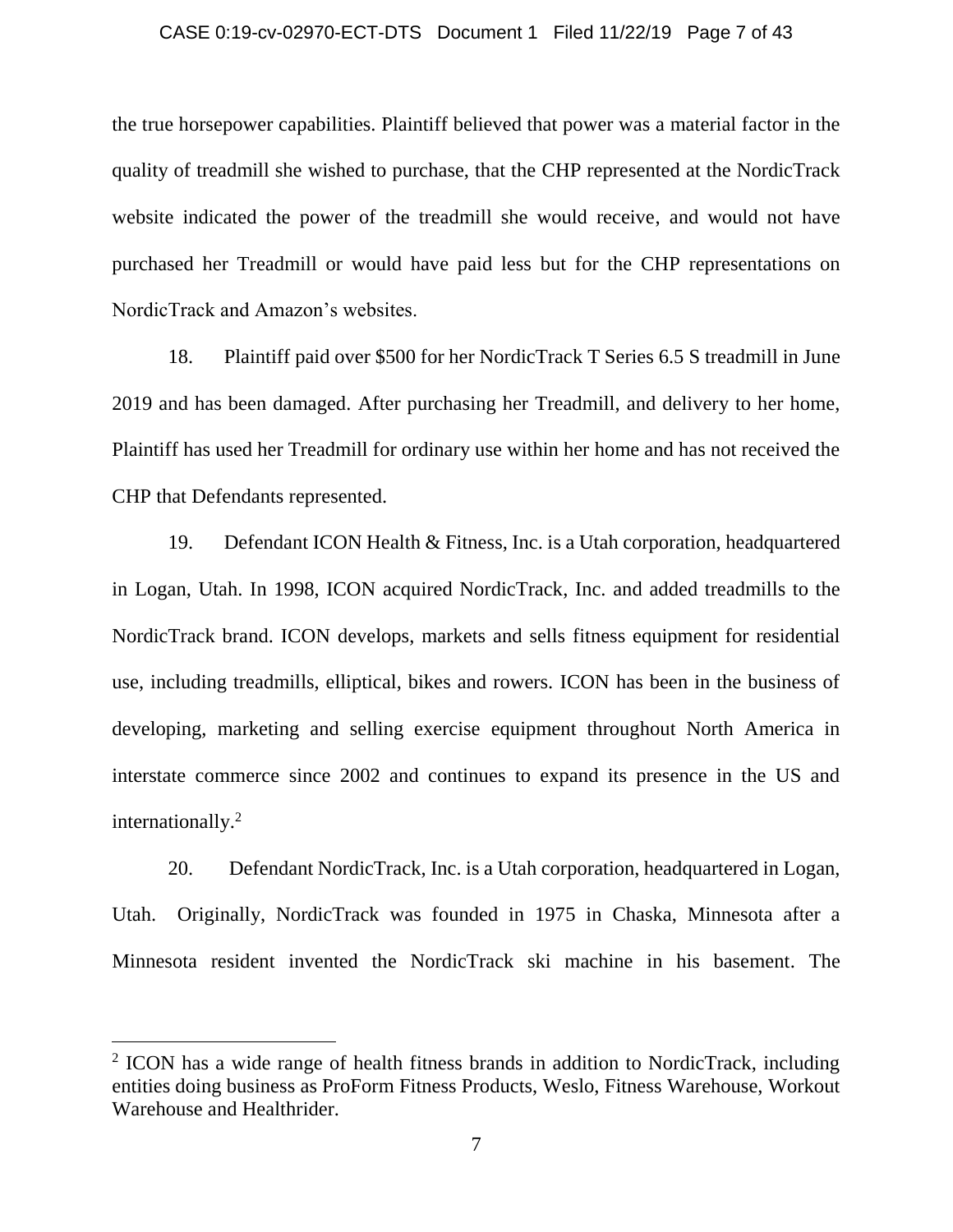### CASE 0:19-cv-02970-ECT-DTS Document 1 Filed 11/22/19 Page 7 of 43

the true horsepower capabilities. Plaintiff believed that power was a material factor in the quality of treadmill she wished to purchase, that the CHP represented at the NordicTrack website indicated the power of the treadmill she would receive, and would not have purchased her Treadmill or would have paid less but for the CHP representations on NordicTrack and Amazon's websites.

18. Plaintiff paid over \$500 for her NordicTrack T Series 6.5 S treadmill in June 2019 and has been damaged. After purchasing her Treadmill, and delivery to her home, Plaintiff has used her Treadmill for ordinary use within her home and has not received the CHP that Defendants represented.

19. Defendant ICON Health & Fitness, Inc. is a Utah corporation, headquartered in Logan, Utah. In 1998, ICON acquired NordicTrack, Inc. and added treadmills to the NordicTrack brand. ICON develops, markets and sells fitness equipment for residential use, including treadmills, elliptical, bikes and rowers. ICON has been in the business of developing, marketing and selling exercise equipment throughout North America in interstate commerce since 2002 and continues to expand its presence in the US and internationally.<sup>2</sup>

20. Defendant NordicTrack, Inc. is a Utah corporation, headquartered in Logan, Utah. Originally, NordicTrack was founded in 1975 in Chaska, Minnesota after a Minnesota resident invented the NordicTrack ski machine in his basement. The

<sup>&</sup>lt;sup>2</sup> ICON has a wide range of health fitness brands in addition to NordicTrack, including entities doing business as ProForm Fitness Products, Weslo, Fitness Warehouse, Workout Warehouse and Healthrider.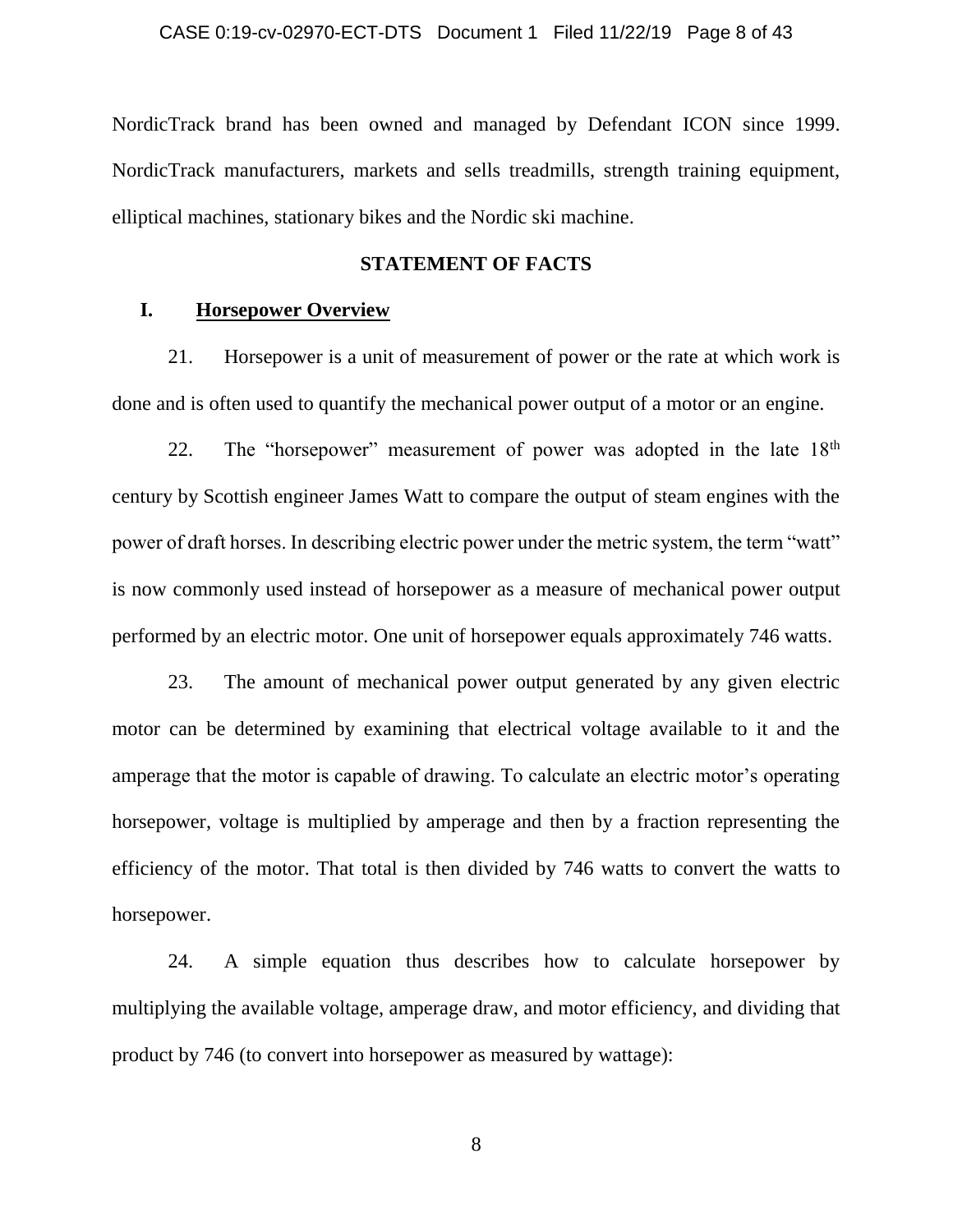NordicTrack brand has been owned and managed by Defendant ICON since 1999. NordicTrack manufacturers, markets and sells treadmills, strength training equipment, elliptical machines, stationary bikes and the Nordic ski machine.

### **STATEMENT OF FACTS**

### **I. Horsepower Overview**

21. Horsepower is a unit of measurement of power or the rate at which work is done and is often used to quantify the mechanical power output of a motor or an engine.

22. The "horsepower" measurement of power was adopted in the late  $18<sup>th</sup>$ century by Scottish engineer James Watt to compare the output of steam engines with the power of draft horses. In describing electric power under the metric system, the term "watt" is now commonly used instead of horsepower as a measure of mechanical power output performed by an electric motor. One unit of horsepower equals approximately 746 watts.

23. The amount of mechanical power output generated by any given electric motor can be determined by examining that electrical voltage available to it and the amperage that the motor is capable of drawing. To calculate an electric motor's operating horsepower, voltage is multiplied by amperage and then by a fraction representing the efficiency of the motor. That total is then divided by 746 watts to convert the watts to horsepower.

24. A simple equation thus describes how to calculate horsepower by multiplying the available voltage, amperage draw, and motor efficiency, and dividing that product by 746 (to convert into horsepower as measured by wattage):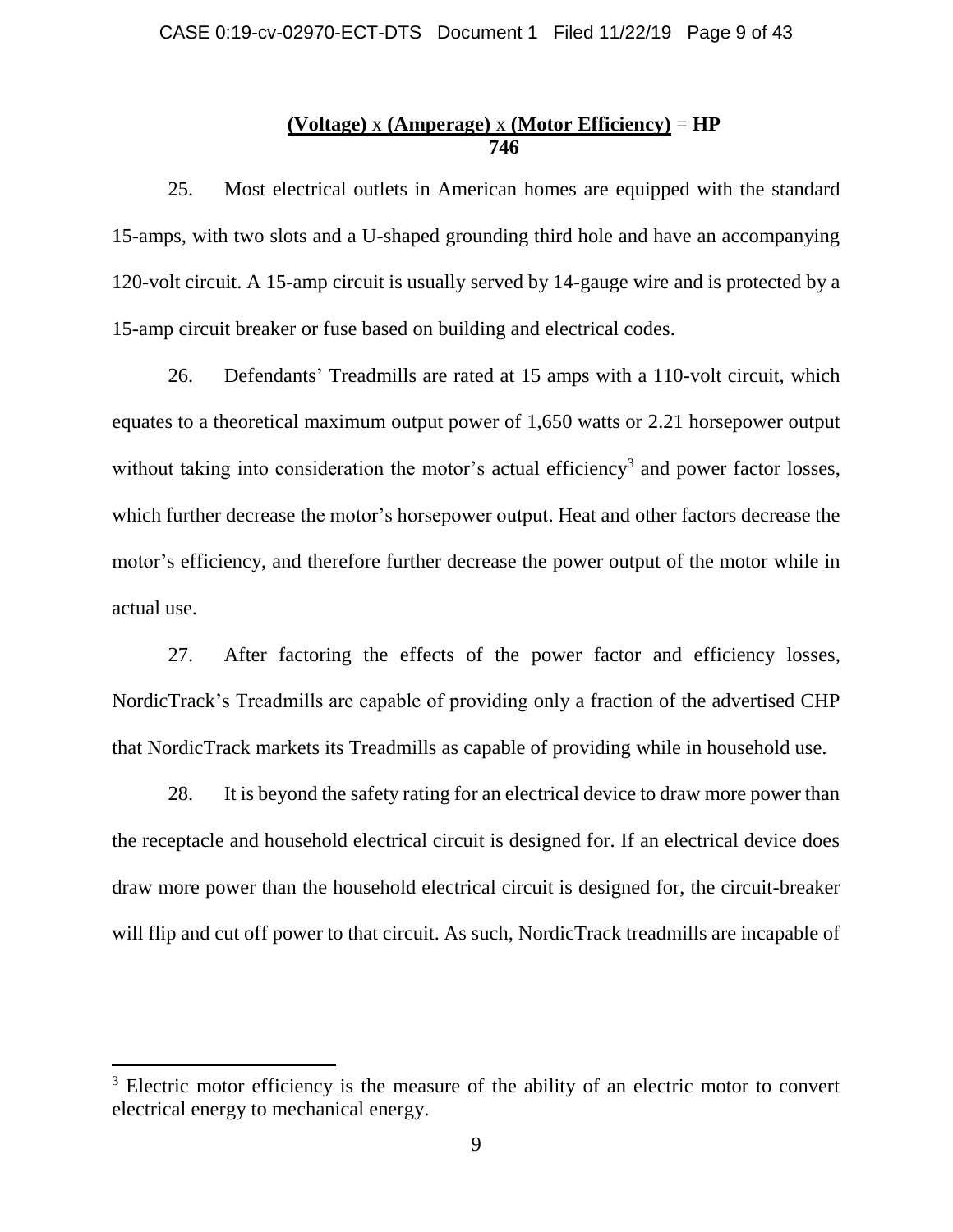# **(Voltage)** x **(Amperage)** x **(Motor Efficiency)** = **HP 746**

25. Most electrical outlets in American homes are equipped with the standard 15-amps, with two slots and a U-shaped grounding third hole and have an accompanying 120-volt circuit. A 15-amp circuit is usually served by 14-gauge wire and is protected by a 15-amp circuit breaker or fuse based on building and electrical codes.

26. Defendants' Treadmills are rated at 15 amps with a 110-volt circuit, which equates to a theoretical maximum output power of 1,650 watts or 2.21 horsepower output without taking into consideration the motor's actual efficiency<sup>3</sup> and power factor losses, which further decrease the motor's horsepower output. Heat and other factors decrease the motor's efficiency, and therefore further decrease the power output of the motor while in actual use.

27. After factoring the effects of the power factor and efficiency losses, NordicTrack's Treadmills are capable of providing only a fraction of the advertised CHP that NordicTrack markets its Treadmills as capable of providing while in household use.

28. It is beyond the safety rating for an electrical device to draw more power than the receptacle and household electrical circuit is designed for. If an electrical device does draw more power than the household electrical circuit is designed for, the circuit-breaker will flip and cut off power to that circuit. As such, NordicTrack treadmills are incapable of

<sup>&</sup>lt;sup>3</sup> Electric motor efficiency is the measure of the ability of an electric motor to convert electrical energy to mechanical energy.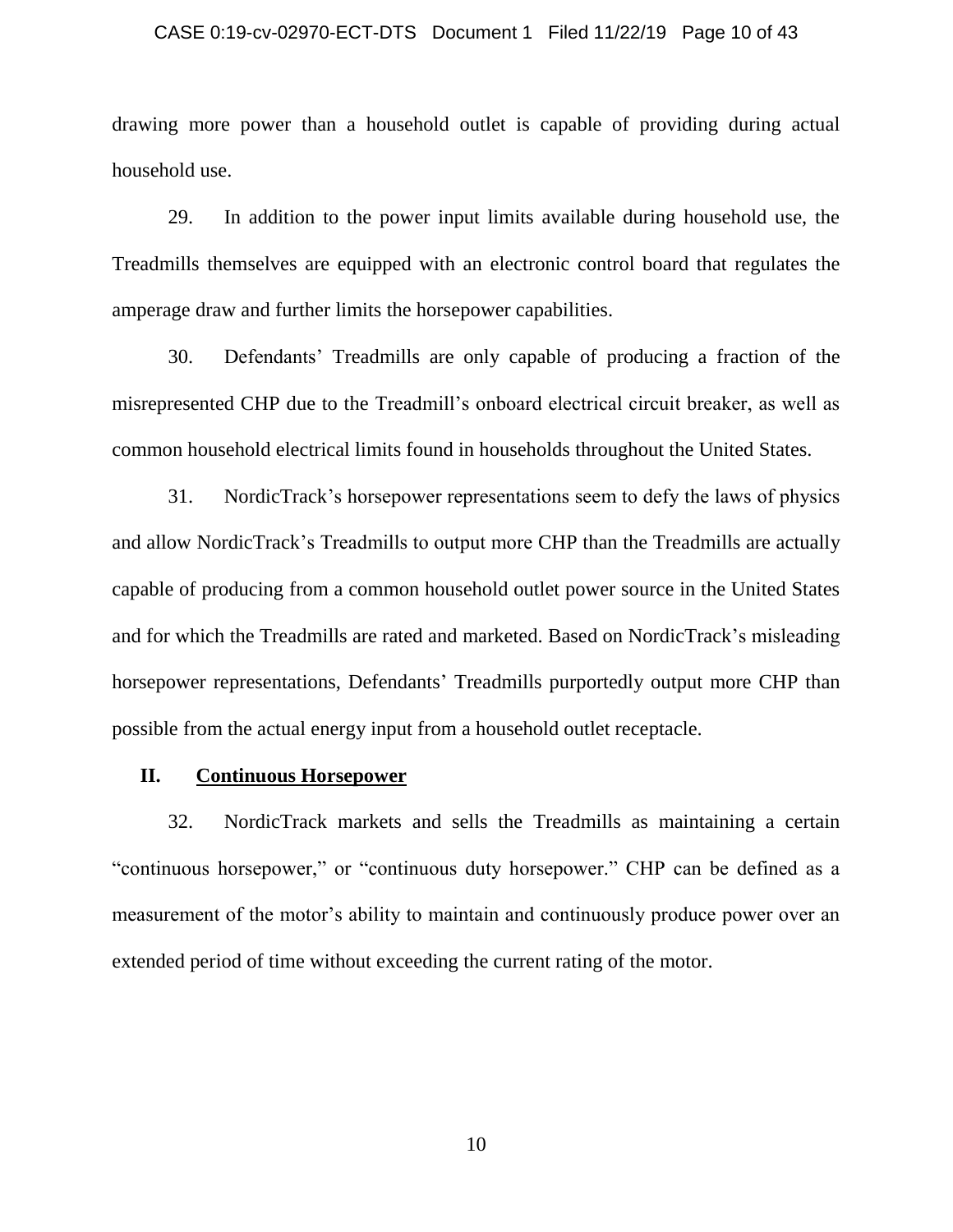### CASE 0:19-cv-02970-ECT-DTS Document 1 Filed 11/22/19 Page 10 of 43

drawing more power than a household outlet is capable of providing during actual household use.

29. In addition to the power input limits available during household use, the Treadmills themselves are equipped with an electronic control board that regulates the amperage draw and further limits the horsepower capabilities.

30. Defendants' Treadmills are only capable of producing a fraction of the misrepresented CHP due to the Treadmill's onboard electrical circuit breaker, as well as common household electrical limits found in households throughout the United States.

31. NordicTrack's horsepower representations seem to defy the laws of physics and allow NordicTrack's Treadmills to output more CHP than the Treadmills are actually capable of producing from a common household outlet power source in the United States and for which the Treadmills are rated and marketed. Based on NordicTrack's misleading horsepower representations, Defendants' Treadmills purportedly output more CHP than possible from the actual energy input from a household outlet receptacle.

### **II. Continuous Horsepower**

32. NordicTrack markets and sells the Treadmills as maintaining a certain "continuous horsepower," or "continuous duty horsepower." CHP can be defined as a measurement of the motor's ability to maintain and continuously produce power over an extended period of time without exceeding the current rating of the motor.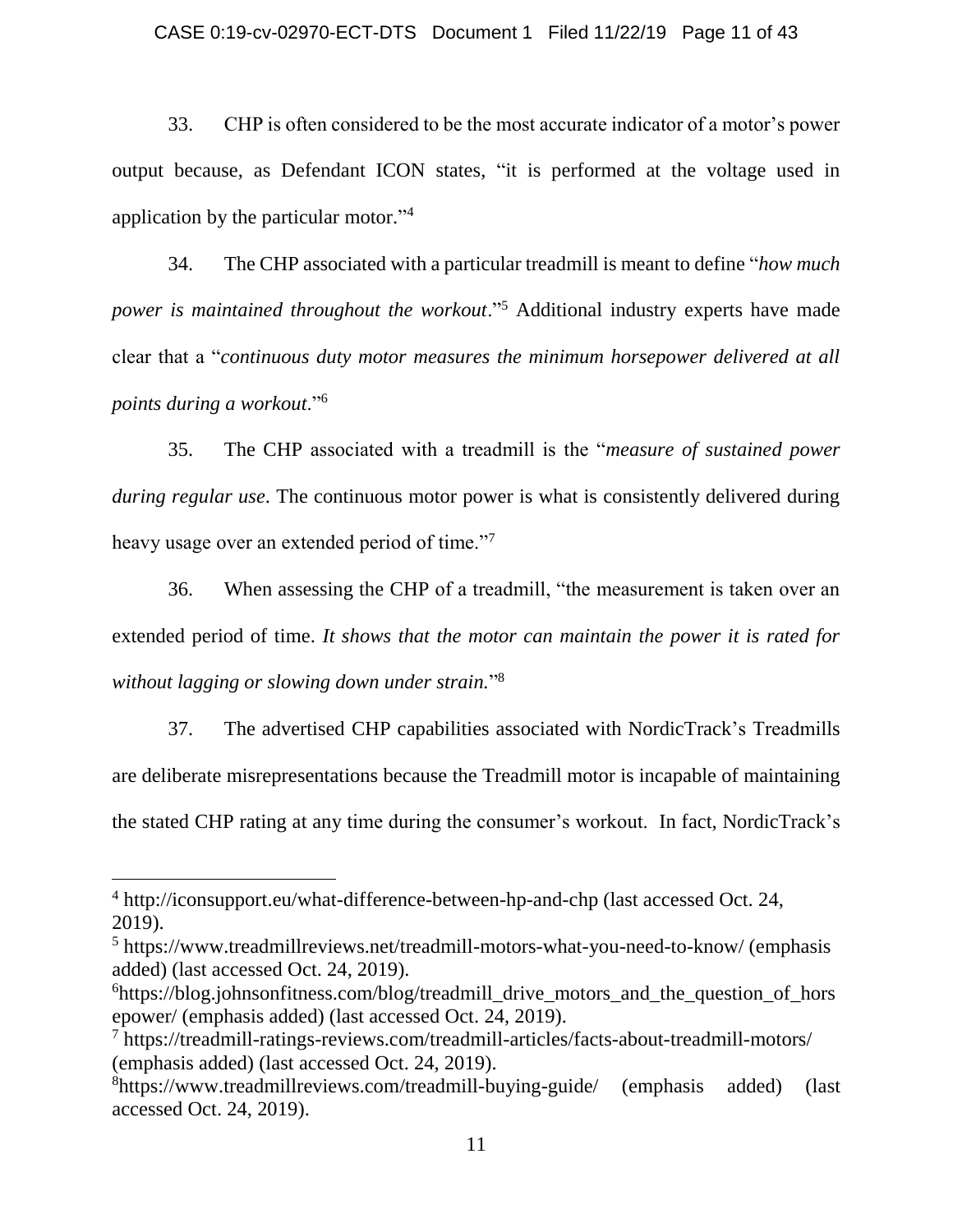### CASE 0:19-cv-02970-ECT-DTS Document 1 Filed 11/22/19 Page 11 of 43

33. CHP is often considered to be the most accurate indicator of a motor's power output because, as Defendant ICON states, "it is performed at the voltage used in application by the particular motor." 4

34. The CHP associated with a particular treadmill is meant to define "*how much power is maintained throughout the workout*."<sup>5</sup> Additional industry experts have made clear that a "*continuous duty motor measures the minimum horsepower delivered at all points during a workout*."<sup>6</sup>

35. The CHP associated with a treadmill is the "*measure of sustained power during regular use*. The continuous motor power is what is consistently delivered during heavy usage over an extended period of time."<sup>7</sup>

36. When assessing the CHP of a treadmill, "the measurement is taken over an extended period of time. *It shows that the motor can maintain the power it is rated for without lagging or slowing down under strain.*" 8

37. The advertised CHP capabilities associated with NordicTrack's Treadmills are deliberate misrepresentations because the Treadmill motor is incapable of maintaining the stated CHP rating at any time during the consumer's workout. In fact, NordicTrack's

<sup>4</sup> http://iconsupport.eu/what-difference-between-hp-and-chp (last accessed Oct. 24, 2019).

<sup>5</sup> https://www.treadmillreviews.net/treadmill-motors-what-you-need-to-know/ (emphasis added) (last accessed Oct. 24, 2019).

 $6$ https://blog.johnsonfitness.com/blog/treadmill drive motors and the question of hors epower/ (emphasis added) (last accessed Oct. 24, 2019).

<sup>7</sup> https://treadmill-ratings-reviews.com/treadmill-articles/facts-about-treadmill-motors/ (emphasis added) (last accessed Oct. 24, 2019).

<sup>8</sup>https://www.treadmillreviews.com/treadmill-buying-guide/ (emphasis added) (last accessed Oct. 24, 2019).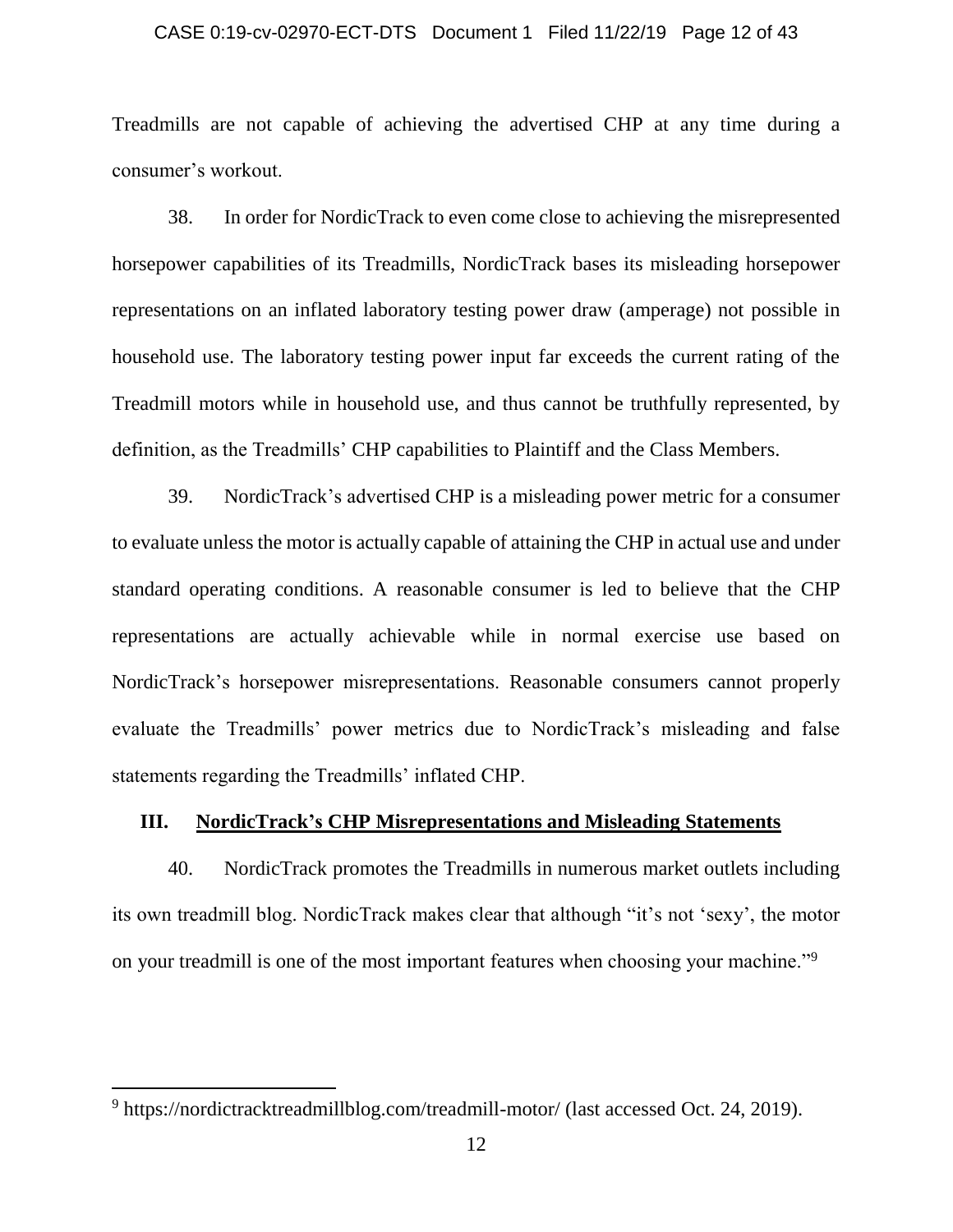# CASE 0:19-cv-02970-ECT-DTS Document 1 Filed 11/22/19 Page 12 of 43

Treadmills are not capable of achieving the advertised CHP at any time during a consumer's workout.

38. In order for NordicTrack to even come close to achieving the misrepresented horsepower capabilities of its Treadmills, NordicTrack bases its misleading horsepower representations on an inflated laboratory testing power draw (amperage) not possible in household use. The laboratory testing power input far exceeds the current rating of the Treadmill motors while in household use, and thus cannot be truthfully represented, by definition, as the Treadmills' CHP capabilities to Plaintiff and the Class Members.

39. NordicTrack's advertised CHP is a misleading power metric for a consumer to evaluate unless the motor is actually capable of attaining the CHP in actual use and under standard operating conditions. A reasonable consumer is led to believe that the CHP representations are actually achievable while in normal exercise use based on NordicTrack's horsepower misrepresentations. Reasonable consumers cannot properly evaluate the Treadmills' power metrics due to NordicTrack's misleading and false statements regarding the Treadmills' inflated CHP.

### **III. NordicTrack's CHP Misrepresentations and Misleading Statements**

40. NordicTrack promotes the Treadmills in numerous market outlets including its own treadmill blog. NordicTrack makes clear that although "it's not 'sexy', the motor on your treadmill is one of the most important features when choosing your machine."<sup>9</sup>

<sup>9</sup> https://nordictracktreadmillblog.com/treadmill-motor/ (last accessed Oct. 24, 2019).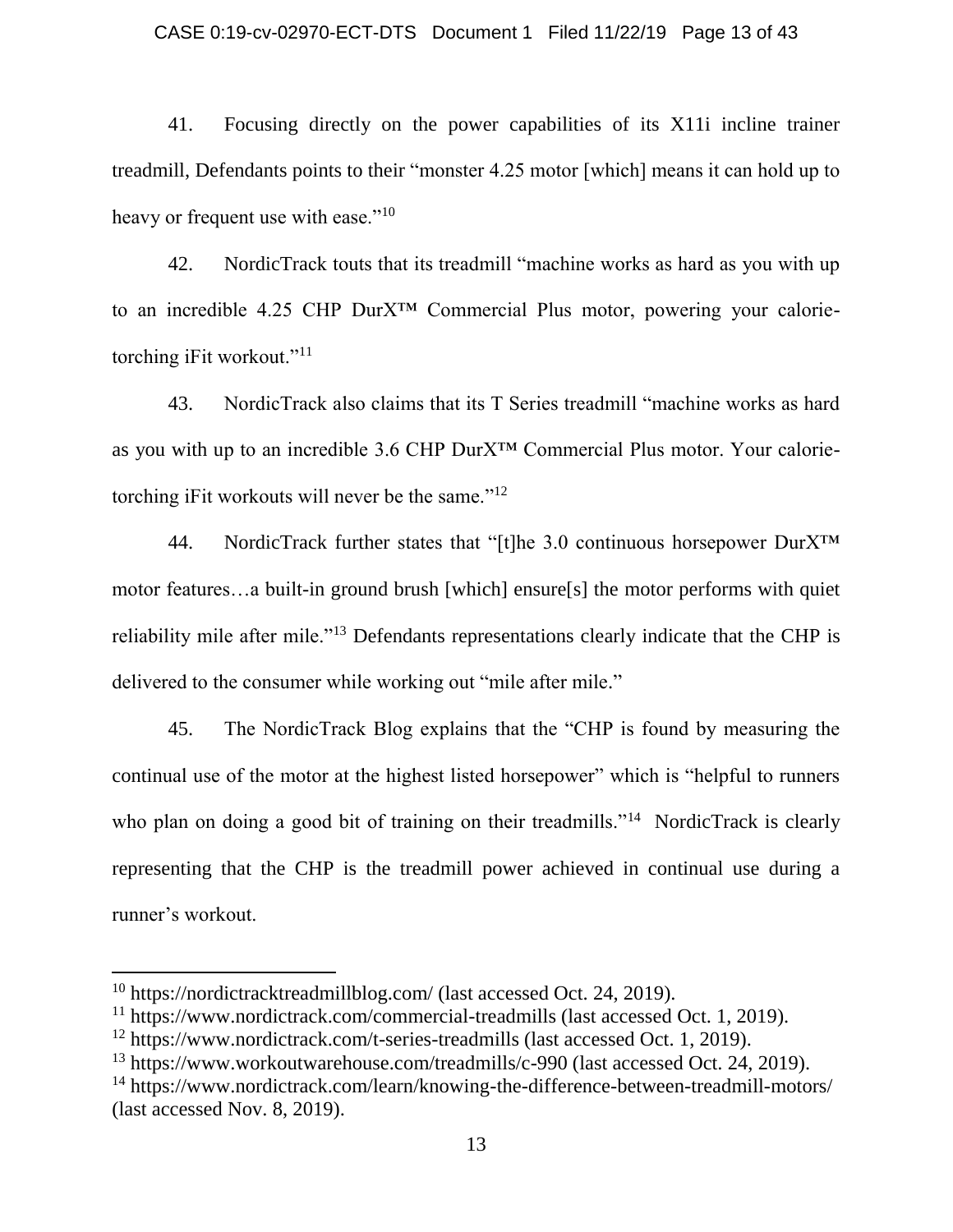### CASE 0:19-cv-02970-ECT-DTS Document 1 Filed 11/22/19 Page 13 of 43

41. Focusing directly on the power capabilities of its X11i incline trainer treadmill, Defendants points to their "monster 4.25 motor [which] means it can hold up to heavy or frequent use with ease."<sup>10</sup>

42. NordicTrack touts that its treadmill "machine works as hard as you with up to an incredible 4.25 CHP DurX™ Commercial Plus motor, powering your calorietorching iFit workout."<sup>11</sup>

43. NordicTrack also claims that its T Series treadmill "machine works as hard as you with up to an incredible 3.6 CHP DurX™ Commercial Plus motor. Your calorietorching iFit workouts will never be the same."<sup>12</sup>

44. NordicTrack further states that "[t]he 3.0 continuous horsepower DurX™ motor features…a built-in ground brush [which] ensure[s] the motor performs with quiet reliability mile after mile."<sup>13</sup> Defendants representations clearly indicate that the CHP is delivered to the consumer while working out "mile after mile."

45. The NordicTrack Blog explains that the "CHP is found by measuring the continual use of the motor at the highest listed horsepower" which is "helpful to runners who plan on doing a good bit of training on their treadmills."<sup>14</sup> NordicTrack is clearly representing that the CHP is the treadmill power achieved in continual use during a runner's workout.

<sup>10</sup> https://nordictracktreadmillblog.com/ (last accessed Oct. 24, 2019).

<sup>&</sup>lt;sup>11</sup> https://www.nordictrack.com/commercial-treadmills (last accessed Oct. 1, 2019).

<sup>12</sup> https://www.nordictrack.com/t-series-treadmills (last accessed Oct. 1, 2019).

<sup>&</sup>lt;sup>13</sup> https://www.workoutwarehouse.com/treadmills/c-990 (last accessed Oct. 24, 2019).

<sup>&</sup>lt;sup>14</sup> https://www.nordictrack.com/learn/knowing-the-difference-between-treadmill-motors/ (last accessed Nov. 8, 2019).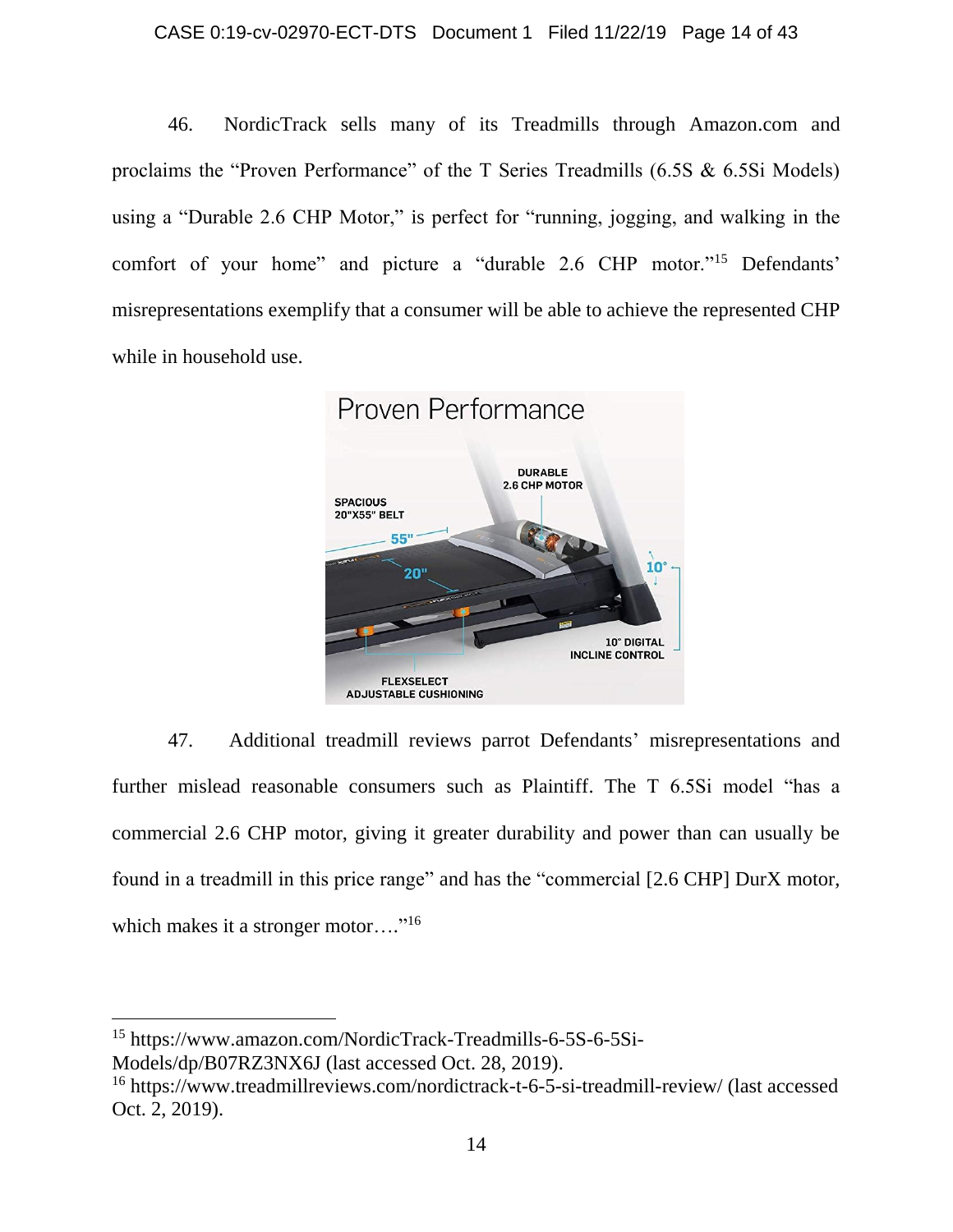### CASE 0:19-cv-02970-ECT-DTS Document 1 Filed 11/22/19 Page 14 of 43

46. NordicTrack sells many of its Treadmills through Amazon.com and proclaims the "Proven Performance" of the T Series Treadmills (6.5S & 6.5Si Models) using a "Durable 2.6 CHP Motor," is perfect for "running, jogging, and walking in the comfort of your home" and picture a "durable 2.6 CHP motor."<sup>15</sup> Defendants' misrepresentations exemplify that a consumer will be able to achieve the represented CHP while in household use.



47. Additional treadmill reviews parrot Defendants' misrepresentations and further mislead reasonable consumers such as Plaintiff. The T 6.5Si model "has a commercial 2.6 CHP motor, giving it greater durability and power than can usually be found in a treadmill in this price range" and has the "commercial [2.6 CHP] DurX motor, which makes it a stronger motor...."<sup>16</sup>

<sup>15</sup> https://www.amazon.com/NordicTrack-Treadmills-6-5S-6-5Si-

Models/dp/B07RZ3NX6J (last accessed Oct. 28, 2019).

l

<sup>16</sup> https://www.treadmillreviews.com/nordictrack-t-6-5-si-treadmill-review/ (last accessed Oct. 2, 2019).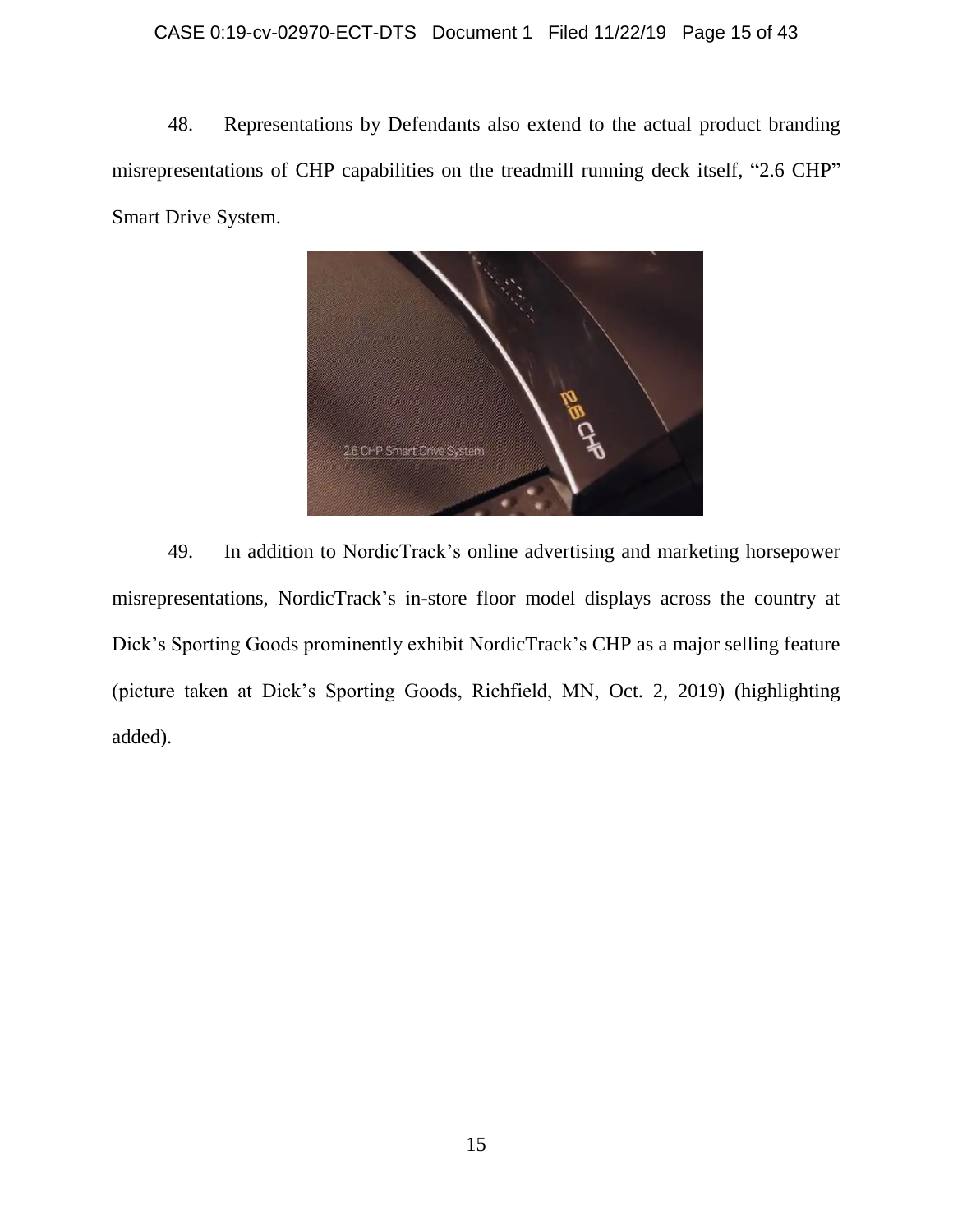### CASE 0:19-cv-02970-ECT-DTS Document 1 Filed 11/22/19 Page 15 of 43

48. Representations by Defendants also extend to the actual product branding misrepresentations of CHP capabilities on the treadmill running deck itself, "2.6 CHP" Smart Drive System.



49. In addition to NordicTrack's online advertising and marketing horsepower misrepresentations, NordicTrack's in-store floor model displays across the country at Dick's Sporting Goods prominently exhibit NordicTrack's CHP as a major selling feature (picture taken at Dick's Sporting Goods, Richfield, MN, Oct. 2, 2019) (highlighting added).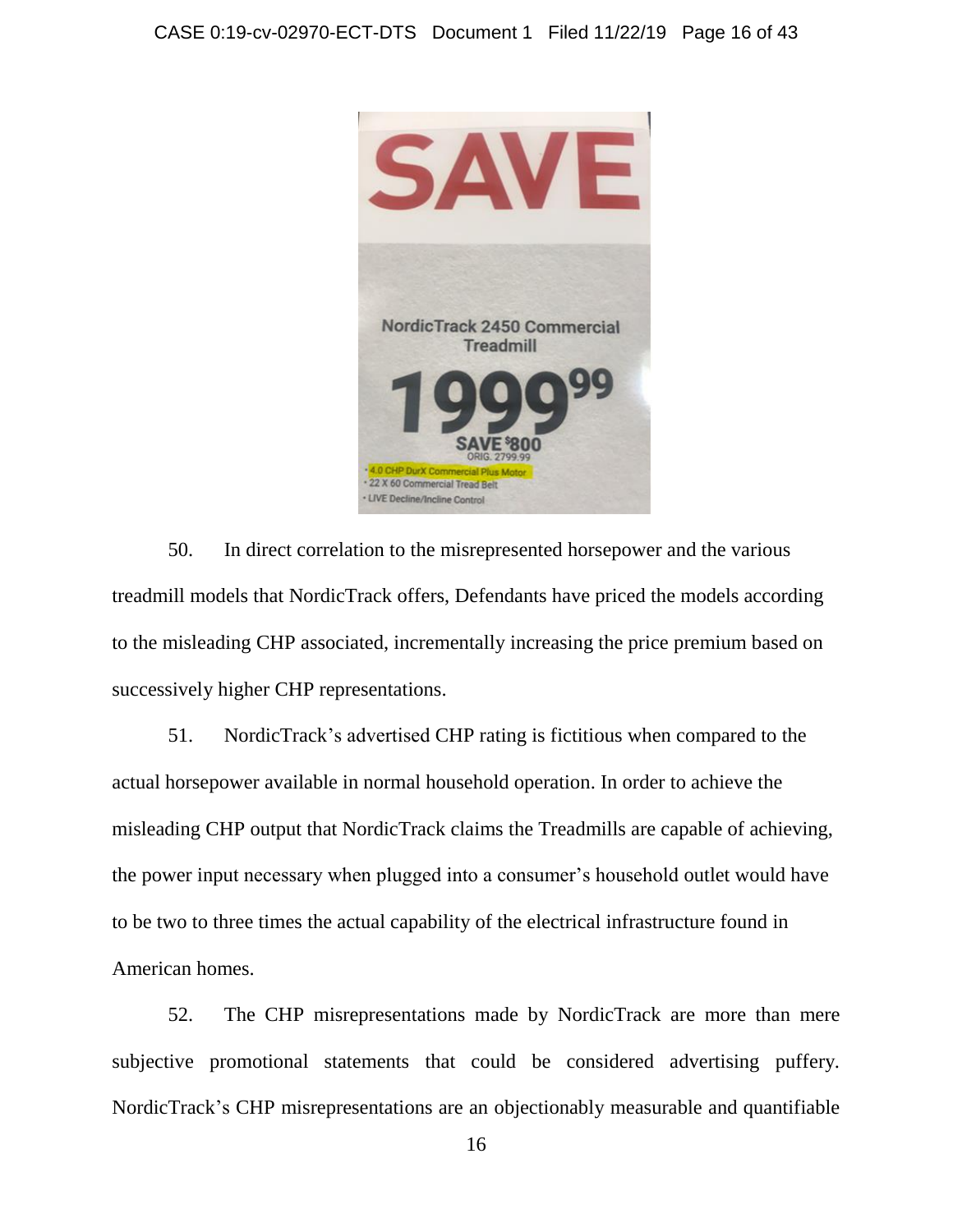

50. In direct correlation to the misrepresented horsepower and the various treadmill models that NordicTrack offers, Defendants have priced the models according to the misleading CHP associated, incrementally increasing the price premium based on successively higher CHP representations.

51. NordicTrack's advertised CHP rating is fictitious when compared to the actual horsepower available in normal household operation. In order to achieve the misleading CHP output that NordicTrack claims the Treadmills are capable of achieving, the power input necessary when plugged into a consumer's household outlet would have to be two to three times the actual capability of the electrical infrastructure found in American homes.

52. The CHP misrepresentations made by NordicTrack are more than mere subjective promotional statements that could be considered advertising puffery. NordicTrack's CHP misrepresentations are an objectionably measurable and quantifiable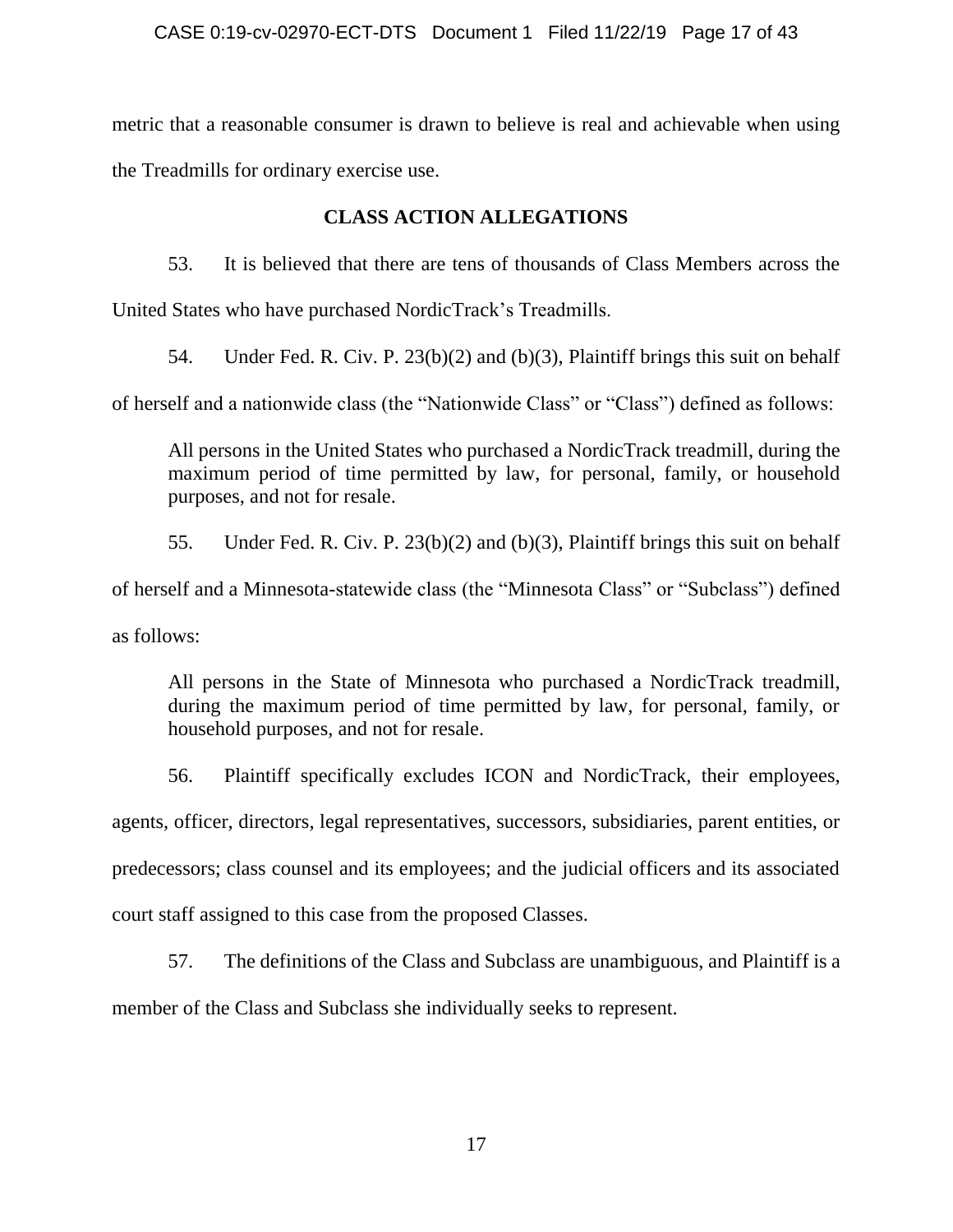metric that a reasonable consumer is drawn to believe is real and achievable when using the Treadmills for ordinary exercise use.

# **CLASS ACTION ALLEGATIONS**

53. It is believed that there are tens of thousands of Class Members across the

United States who have purchased NordicTrack's Treadmills.

54. Under Fed. R. Civ. P. 23(b)(2) and (b)(3), Plaintiff brings this suit on behalf

of herself and a nationwide class (the "Nationwide Class" or "Class") defined as follows:

All persons in the United States who purchased a NordicTrack treadmill, during the maximum period of time permitted by law, for personal, family, or household purposes, and not for resale.

55. Under Fed. R. Civ. P. 23(b)(2) and (b)(3), Plaintiff brings this suit on behalf

of herself and a Minnesota-statewide class (the "Minnesota Class" or "Subclass") defined

as follows:

All persons in the State of Minnesota who purchased a NordicTrack treadmill, during the maximum period of time permitted by law, for personal, family, or household purposes, and not for resale.

56. Plaintiff specifically excludes ICON and NordicTrack, their employees, agents, officer, directors, legal representatives, successors, subsidiaries, parent entities, or predecessors; class counsel and its employees; and the judicial officers and its associated court staff assigned to this case from the proposed Classes.

57. The definitions of the Class and Subclass are unambiguous, and Plaintiff is a member of the Class and Subclass she individually seeks to represent.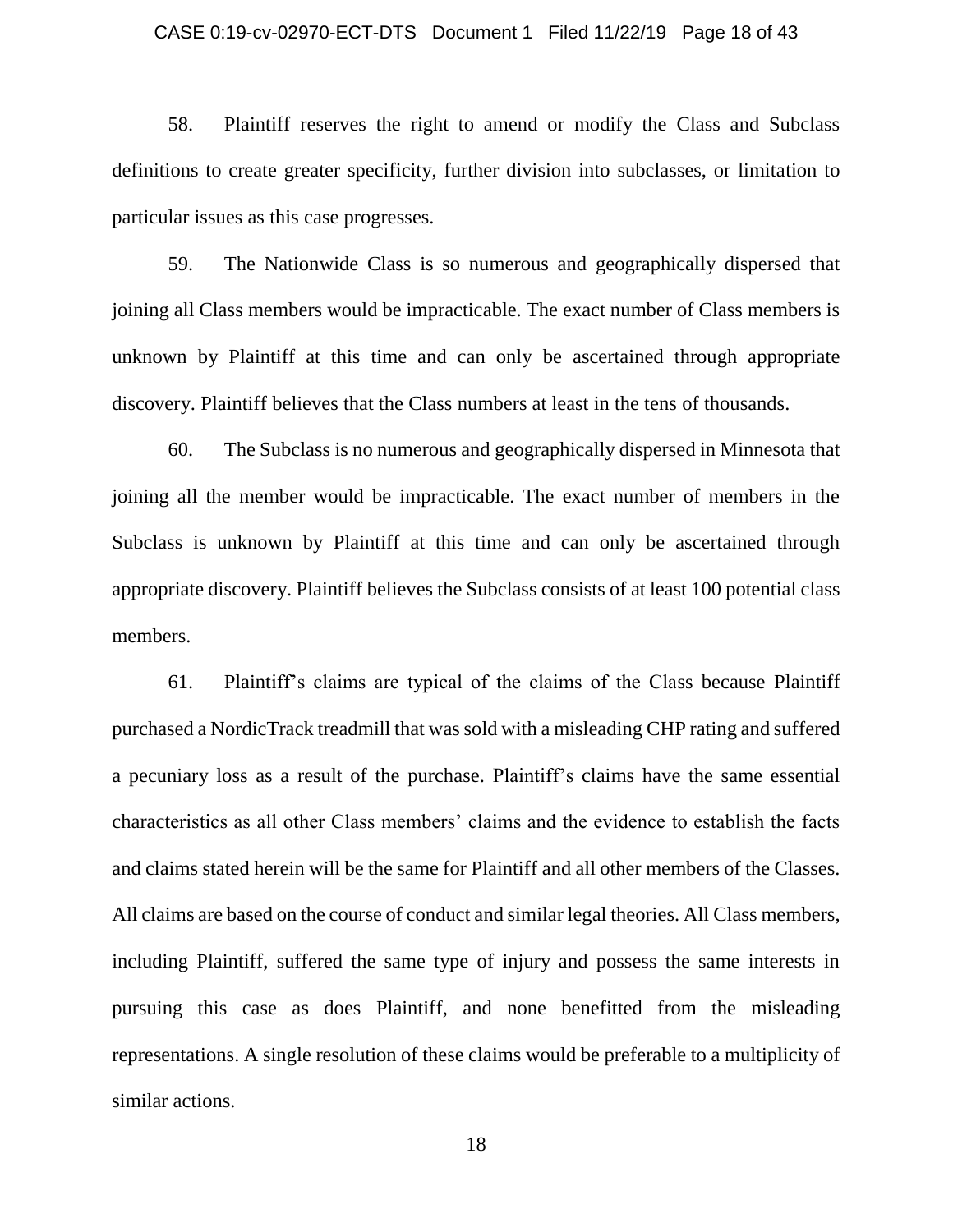### CASE 0:19-cv-02970-ECT-DTS Document 1 Filed 11/22/19 Page 18 of 43

58. Plaintiff reserves the right to amend or modify the Class and Subclass definitions to create greater specificity, further division into subclasses, or limitation to particular issues as this case progresses.

59. The Nationwide Class is so numerous and geographically dispersed that joining all Class members would be impracticable. The exact number of Class members is unknown by Plaintiff at this time and can only be ascertained through appropriate discovery. Plaintiff believes that the Class numbers at least in the tens of thousands.

60. The Subclass is no numerous and geographically dispersed in Minnesota that joining all the member would be impracticable. The exact number of members in the Subclass is unknown by Plaintiff at this time and can only be ascertained through appropriate discovery. Plaintiff believes the Subclass consists of at least 100 potential class members.

61. Plaintiff's claims are typical of the claims of the Class because Plaintiff purchased a NordicTrack treadmill that was sold with a misleading CHP rating and suffered a pecuniary loss as a result of the purchase. Plaintiff's claims have the same essential characteristics as all other Class members' claims and the evidence to establish the facts and claims stated herein will be the same for Plaintiff and all other members of the Classes. All claims are based on the course of conduct and similar legal theories. All Class members, including Plaintiff, suffered the same type of injury and possess the same interests in pursuing this case as does Plaintiff, and none benefitted from the misleading representations. A single resolution of these claims would be preferable to a multiplicity of similar actions.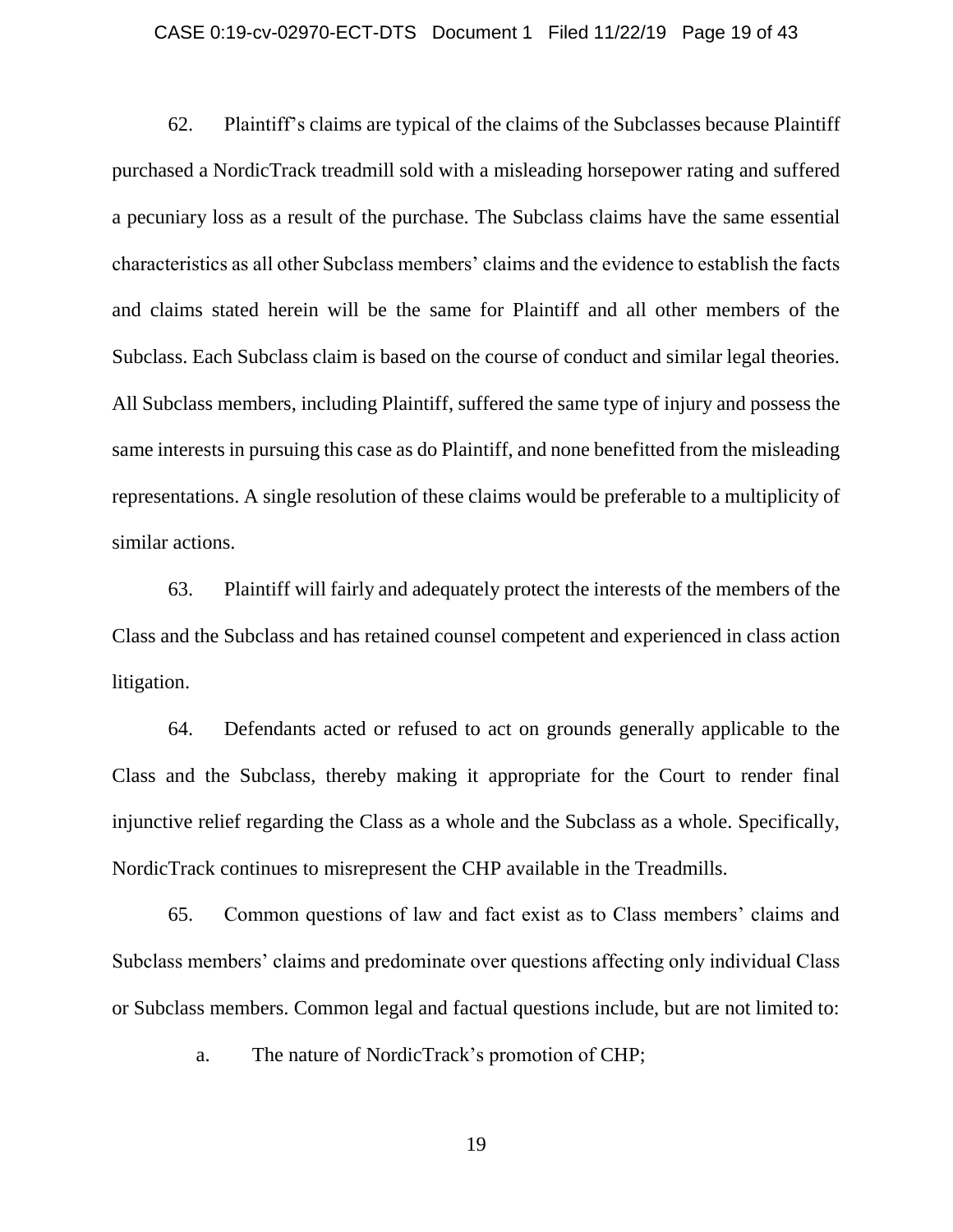### CASE 0:19-cv-02970-ECT-DTS Document 1 Filed 11/22/19 Page 19 of 43

62. Plaintiff's claims are typical of the claims of the Subclasses because Plaintiff purchased a NordicTrack treadmill sold with a misleading horsepower rating and suffered a pecuniary loss as a result of the purchase. The Subclass claims have the same essential characteristics as all other Subclass members' claims and the evidence to establish the facts and claims stated herein will be the same for Plaintiff and all other members of the Subclass. Each Subclass claim is based on the course of conduct and similar legal theories. All Subclass members, including Plaintiff, suffered the same type of injury and possess the same interests in pursuing this case as do Plaintiff, and none benefitted from the misleading representations. A single resolution of these claims would be preferable to a multiplicity of similar actions.

63. Plaintiff will fairly and adequately protect the interests of the members of the Class and the Subclass and has retained counsel competent and experienced in class action litigation.

64. Defendants acted or refused to act on grounds generally applicable to the Class and the Subclass, thereby making it appropriate for the Court to render final injunctive relief regarding the Class as a whole and the Subclass as a whole. Specifically, NordicTrack continues to misrepresent the CHP available in the Treadmills.

65. Common questions of law and fact exist as to Class members' claims and Subclass members' claims and predominate over questions affecting only individual Class or Subclass members. Common legal and factual questions include, but are not limited to:

a. The nature of NordicTrack's promotion of CHP;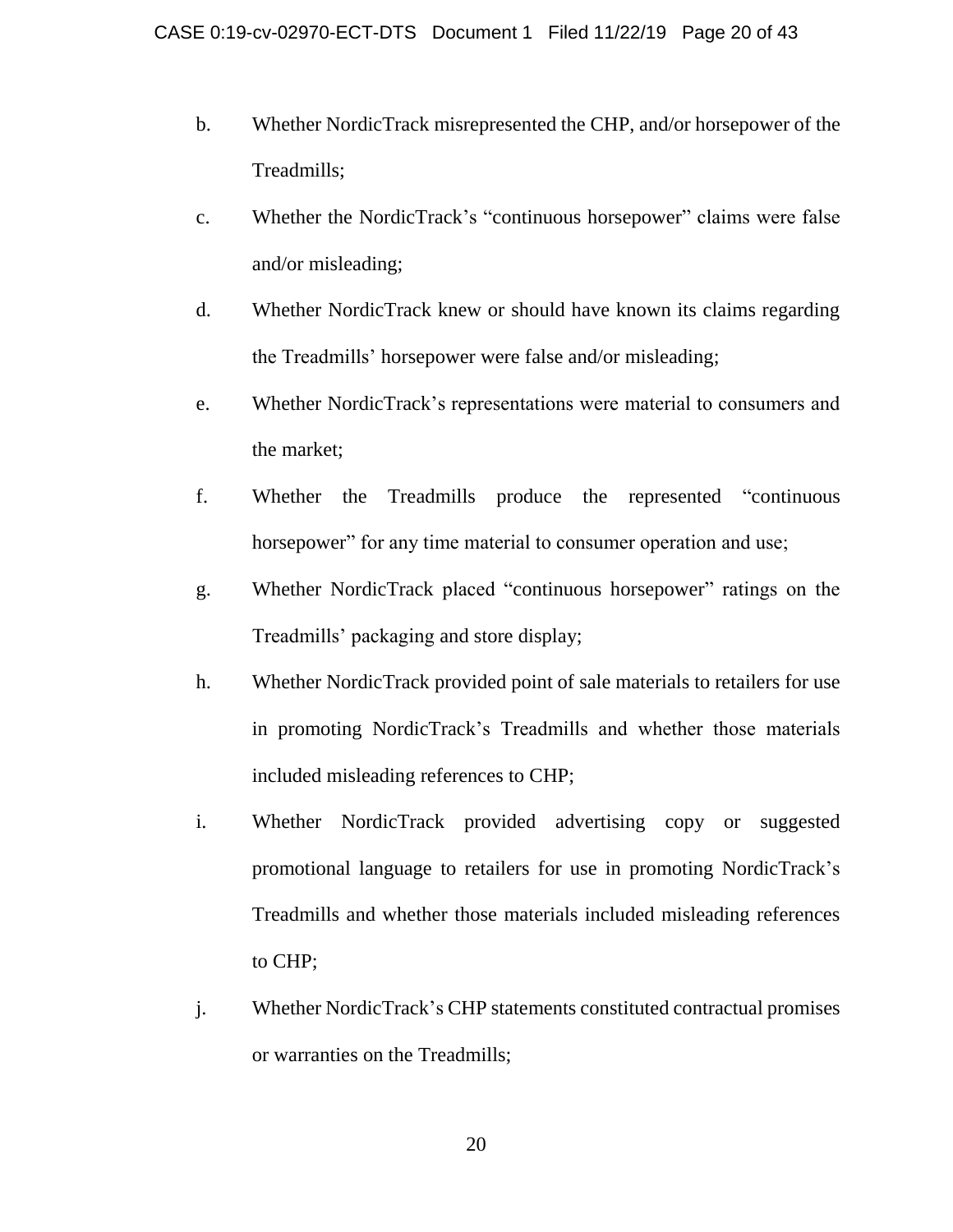- b. Whether NordicTrack misrepresented the CHP, and/or horsepower of the Treadmills;
- c. Whether the NordicTrack's "continuous horsepower" claims were false and/or misleading;
- d. Whether NordicTrack knew or should have known its claims regarding the Treadmills' horsepower were false and/or misleading;
- e. Whether NordicTrack's representations were material to consumers and the market;
- f. Whether the Treadmills produce the represented "continuous horsepower" for any time material to consumer operation and use;
- g. Whether NordicTrack placed "continuous horsepower" ratings on the Treadmills' packaging and store display;
- h. Whether NordicTrack provided point of sale materials to retailers for use in promoting NordicTrack's Treadmills and whether those materials included misleading references to CHP;
- i. Whether NordicTrack provided advertising copy or suggested promotional language to retailers for use in promoting NordicTrack's Treadmills and whether those materials included misleading references to CHP;
- j. Whether NordicTrack's CHP statements constituted contractual promises or warranties on the Treadmills;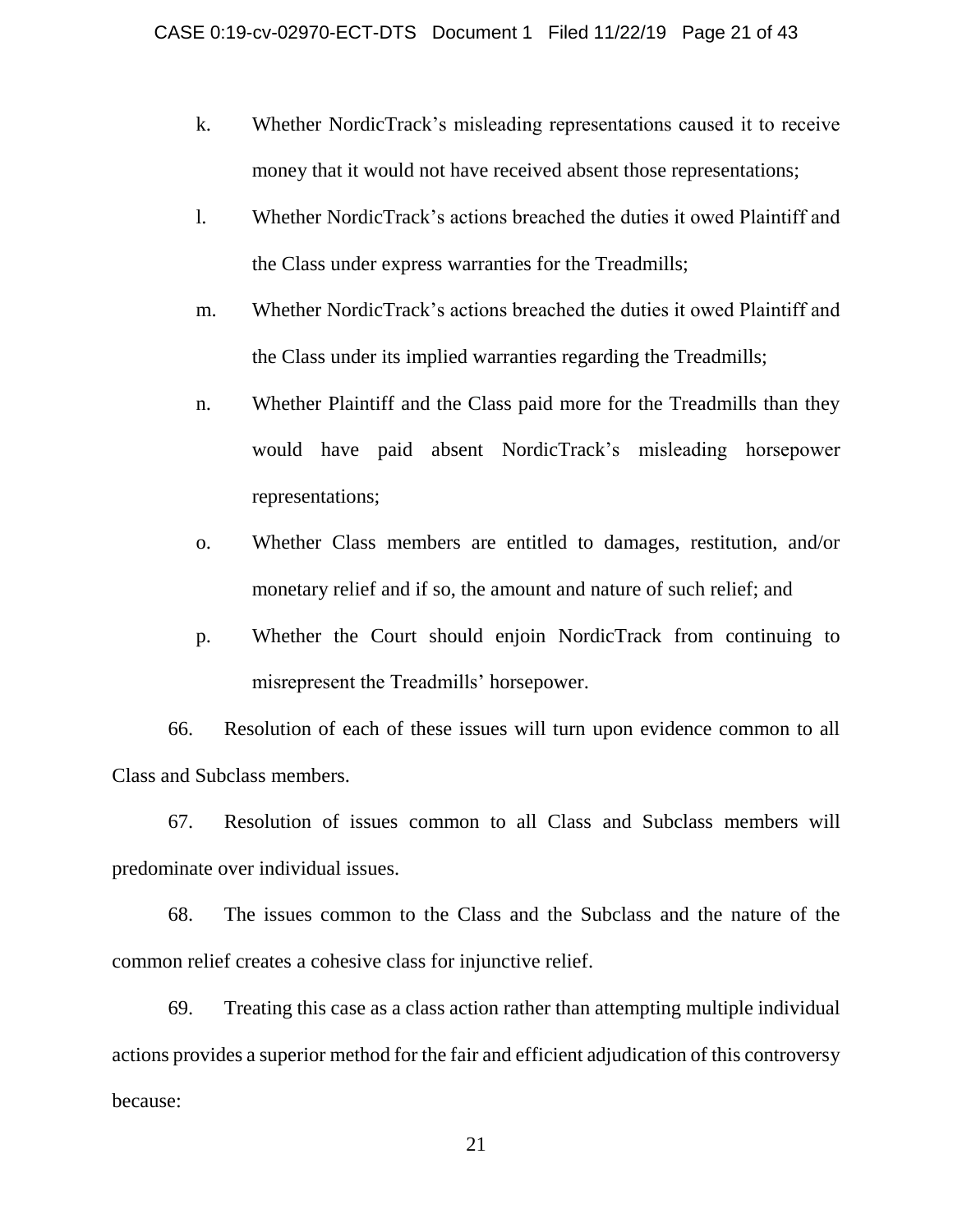- k. Whether NordicTrack's misleading representations caused it to receive money that it would not have received absent those representations;
- l. Whether NordicTrack's actions breached the duties it owed Plaintiff and the Class under express warranties for the Treadmills;
- m. Whether NordicTrack's actions breached the duties it owed Plaintiff and the Class under its implied warranties regarding the Treadmills;
- n. Whether Plaintiff and the Class paid more for the Treadmills than they would have paid absent NordicTrack's misleading horsepower representations;
- o. Whether Class members are entitled to damages, restitution, and/or monetary relief and if so, the amount and nature of such relief; and
- p. Whether the Court should enjoin NordicTrack from continuing to misrepresent the Treadmills' horsepower.

66. Resolution of each of these issues will turn upon evidence common to all Class and Subclass members.

67. Resolution of issues common to all Class and Subclass members will predominate over individual issues.

68. The issues common to the Class and the Subclass and the nature of the common relief creates a cohesive class for injunctive relief.

69. Treating this case as a class action rather than attempting multiple individual actions provides a superior method for the fair and efficient adjudication of this controversy because: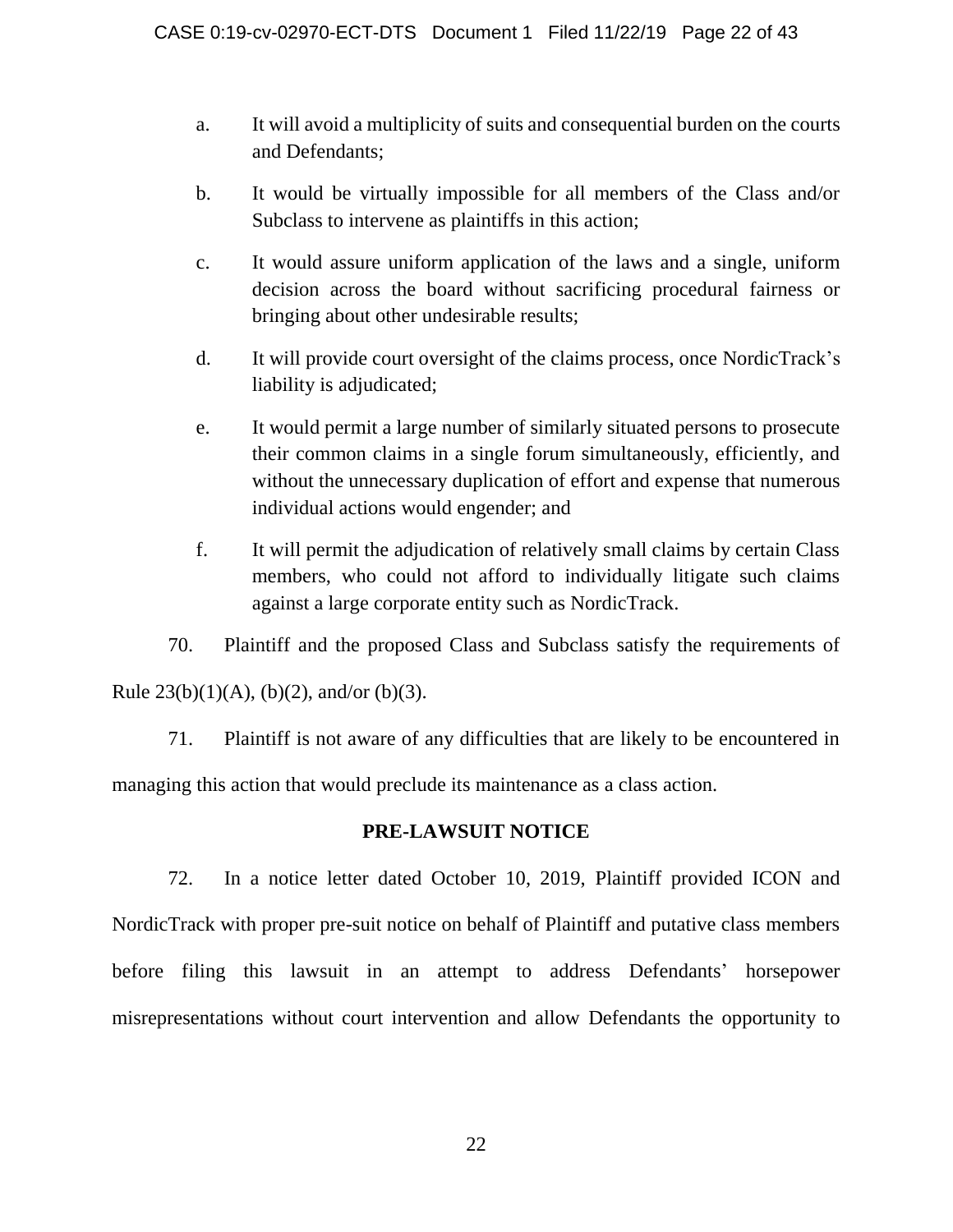- a. It will avoid a multiplicity of suits and consequential burden on the courts and Defendants;
- b. It would be virtually impossible for all members of the Class and/or Subclass to intervene as plaintiffs in this action;
- c. It would assure uniform application of the laws and a single, uniform decision across the board without sacrificing procedural fairness or bringing about other undesirable results;
- d. It will provide court oversight of the claims process, once NordicTrack's liability is adjudicated;
- e. It would permit a large number of similarly situated persons to prosecute their common claims in a single forum simultaneously, efficiently, and without the unnecessary duplication of effort and expense that numerous individual actions would engender; and
- f. It will permit the adjudication of relatively small claims by certain Class members, who could not afford to individually litigate such claims against a large corporate entity such as NordicTrack.

70. Plaintiff and the proposed Class and Subclass satisfy the requirements of Rule  $23(b)(1)(A)$ ,  $(b)(2)$ , and/or  $(b)(3)$ .

71. Plaintiff is not aware of any difficulties that are likely to be encountered in managing this action that would preclude its maintenance as a class action.

# **PRE-LAWSUIT NOTICE**

72. In a notice letter dated October 10, 2019, Plaintiff provided ICON and NordicTrack with proper pre-suit notice on behalf of Plaintiff and putative class members before filing this lawsuit in an attempt to address Defendants' horsepower misrepresentations without court intervention and allow Defendants the opportunity to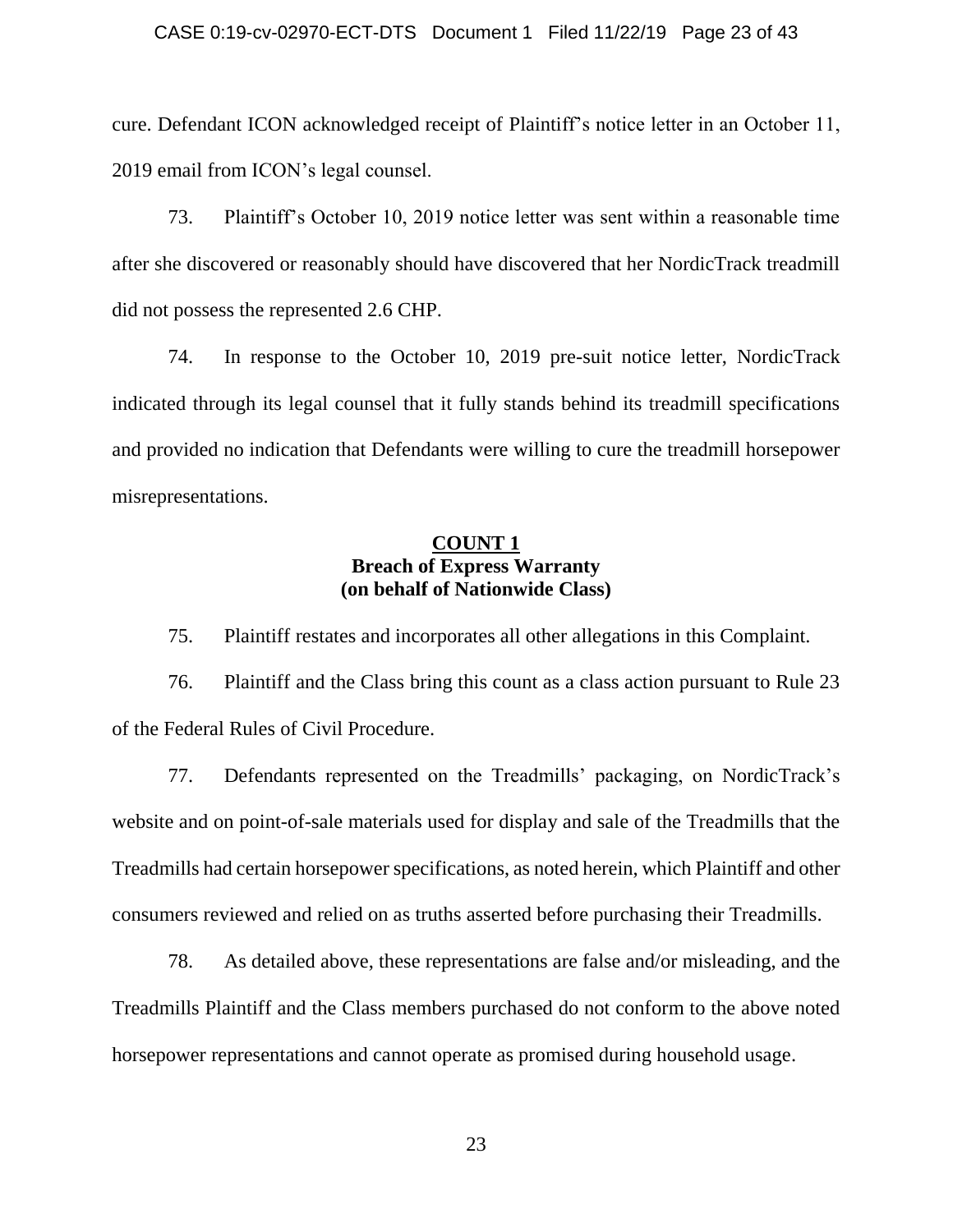### CASE 0:19-cv-02970-ECT-DTS Document 1 Filed 11/22/19 Page 23 of 43

cure. Defendant ICON acknowledged receipt of Plaintiff's notice letter in an October 11, 2019 email from ICON's legal counsel.

73. Plaintiff's October 10, 2019 notice letter was sent within a reasonable time after she discovered or reasonably should have discovered that her NordicTrack treadmill did not possess the represented 2.6 CHP.

74. In response to the October 10, 2019 pre-suit notice letter, NordicTrack indicated through its legal counsel that it fully stands behind its treadmill specifications and provided no indication that Defendants were willing to cure the treadmill horsepower misrepresentations.

## **COUNT 1 Breach of Express Warranty (on behalf of Nationwide Class)**

75. Plaintiff restates and incorporates all other allegations in this Complaint.

76. Plaintiff and the Class bring this count as a class action pursuant to Rule 23 of the Federal Rules of Civil Procedure.

77. Defendants represented on the Treadmills' packaging, on NordicTrack's website and on point-of-sale materials used for display and sale of the Treadmills that the Treadmills had certain horsepower specifications, as noted herein, which Plaintiff and other consumers reviewed and relied on as truths asserted before purchasing their Treadmills.

78. As detailed above, these representations are false and/or misleading, and the Treadmills Plaintiff and the Class members purchased do not conform to the above noted horsepower representations and cannot operate as promised during household usage.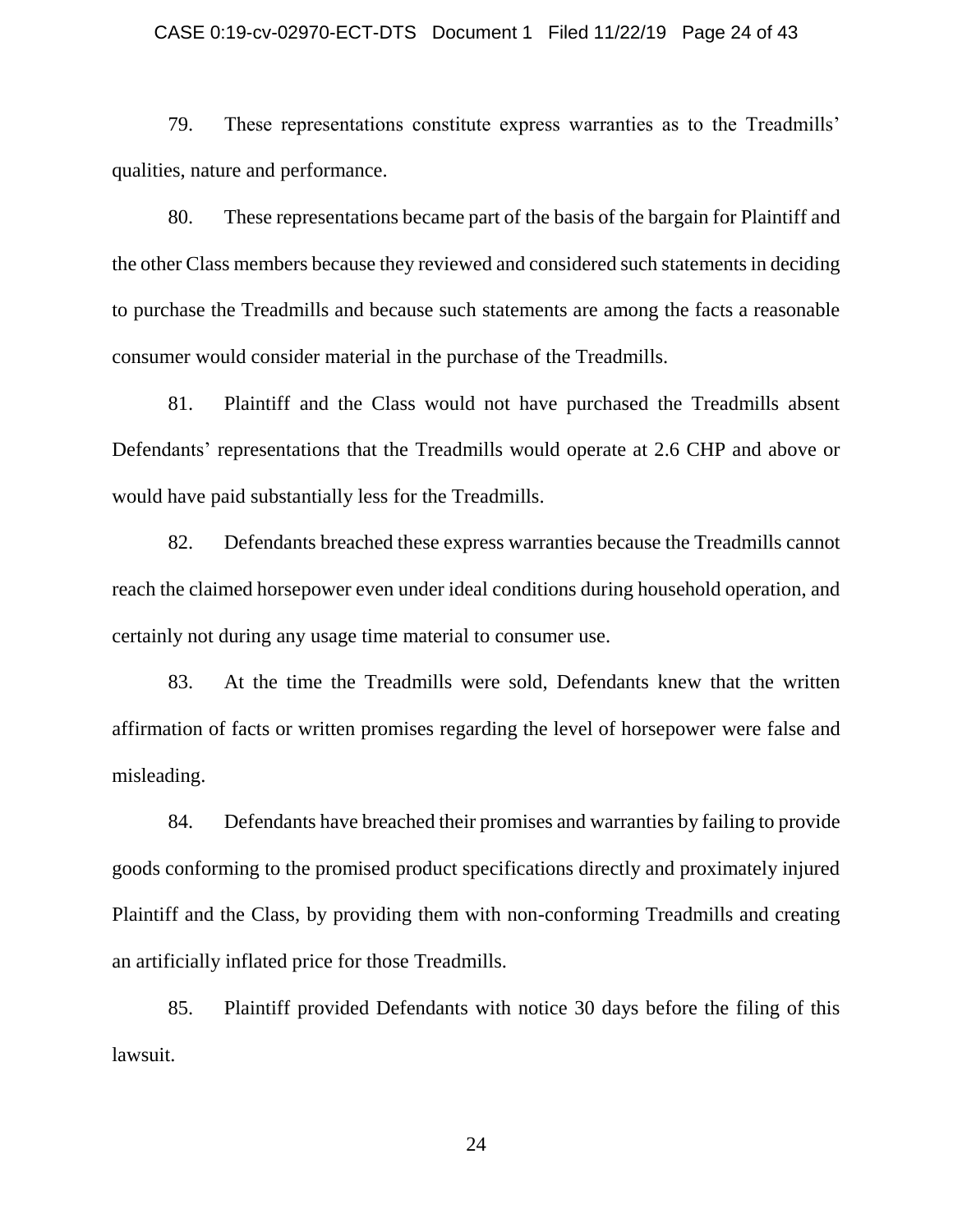### CASE 0:19-cv-02970-ECT-DTS Document 1 Filed 11/22/19 Page 24 of 43

79. These representations constitute express warranties as to the Treadmills' qualities, nature and performance.

80. These representations became part of the basis of the bargain for Plaintiff and the other Class members because they reviewed and considered such statements in deciding to purchase the Treadmills and because such statements are among the facts a reasonable consumer would consider material in the purchase of the Treadmills.

81. Plaintiff and the Class would not have purchased the Treadmills absent Defendants' representations that the Treadmills would operate at 2.6 CHP and above or would have paid substantially less for the Treadmills.

82. Defendants breached these express warranties because the Treadmills cannot reach the claimed horsepower even under ideal conditions during household operation, and certainly not during any usage time material to consumer use.

83. At the time the Treadmills were sold, Defendants knew that the written affirmation of facts or written promises regarding the level of horsepower were false and misleading.

84. Defendants have breached their promises and warranties by failing to provide goods conforming to the promised product specifications directly and proximately injured Plaintiff and the Class, by providing them with non-conforming Treadmills and creating an artificially inflated price for those Treadmills.

85. Plaintiff provided Defendants with notice 30 days before the filing of this lawsuit.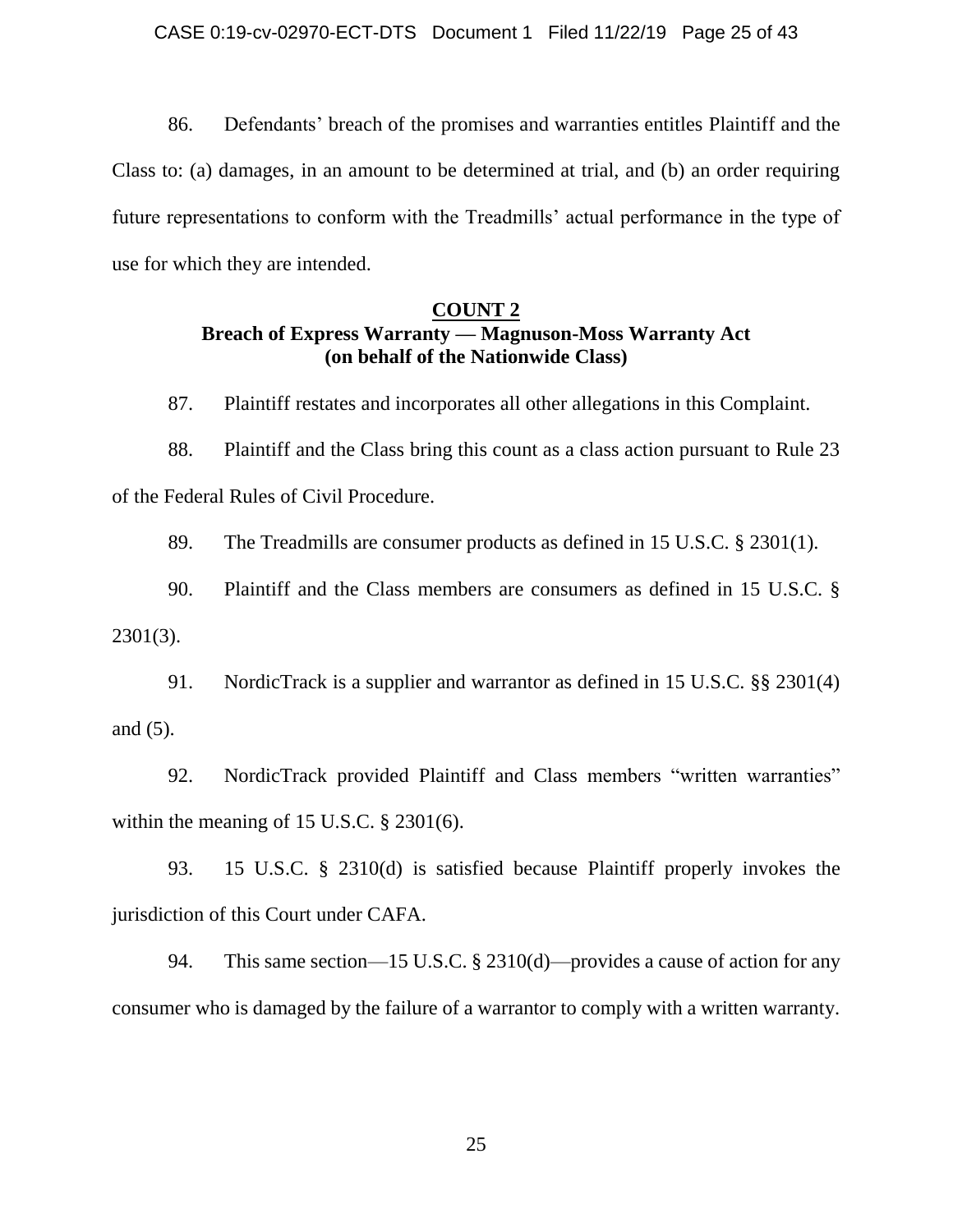86. Defendants' breach of the promises and warranties entitles Plaintiff and the Class to: (a) damages, in an amount to be determined at trial, and (b) an order requiring future representations to conform with the Treadmills' actual performance in the type of use for which they are intended.

## **COUNT 2 Breach of Express Warranty — Magnuson-Moss Warranty Act (on behalf of the Nationwide Class)**

87. Plaintiff restates and incorporates all other allegations in this Complaint.

88. Plaintiff and the Class bring this count as a class action pursuant to Rule 23 of the Federal Rules of Civil Procedure.

89. The Treadmills are consumer products as defined in 15 U.S.C. § 2301(1).

90. Plaintiff and the Class members are consumers as defined in 15 U.S.C. § 2301(3).

91. NordicTrack is a supplier and warrantor as defined in 15 U.S.C. §§ 2301(4) and (5).

92. NordicTrack provided Plaintiff and Class members "written warranties" within the meaning of 15 U.S.C. § 2301(6).

93. 15 U.S.C. § 2310(d) is satisfied because Plaintiff properly invokes the jurisdiction of this Court under CAFA.

94. This same section—15 U.S.C. § 2310(d)—provides a cause of action for any consumer who is damaged by the failure of a warrantor to comply with a written warranty.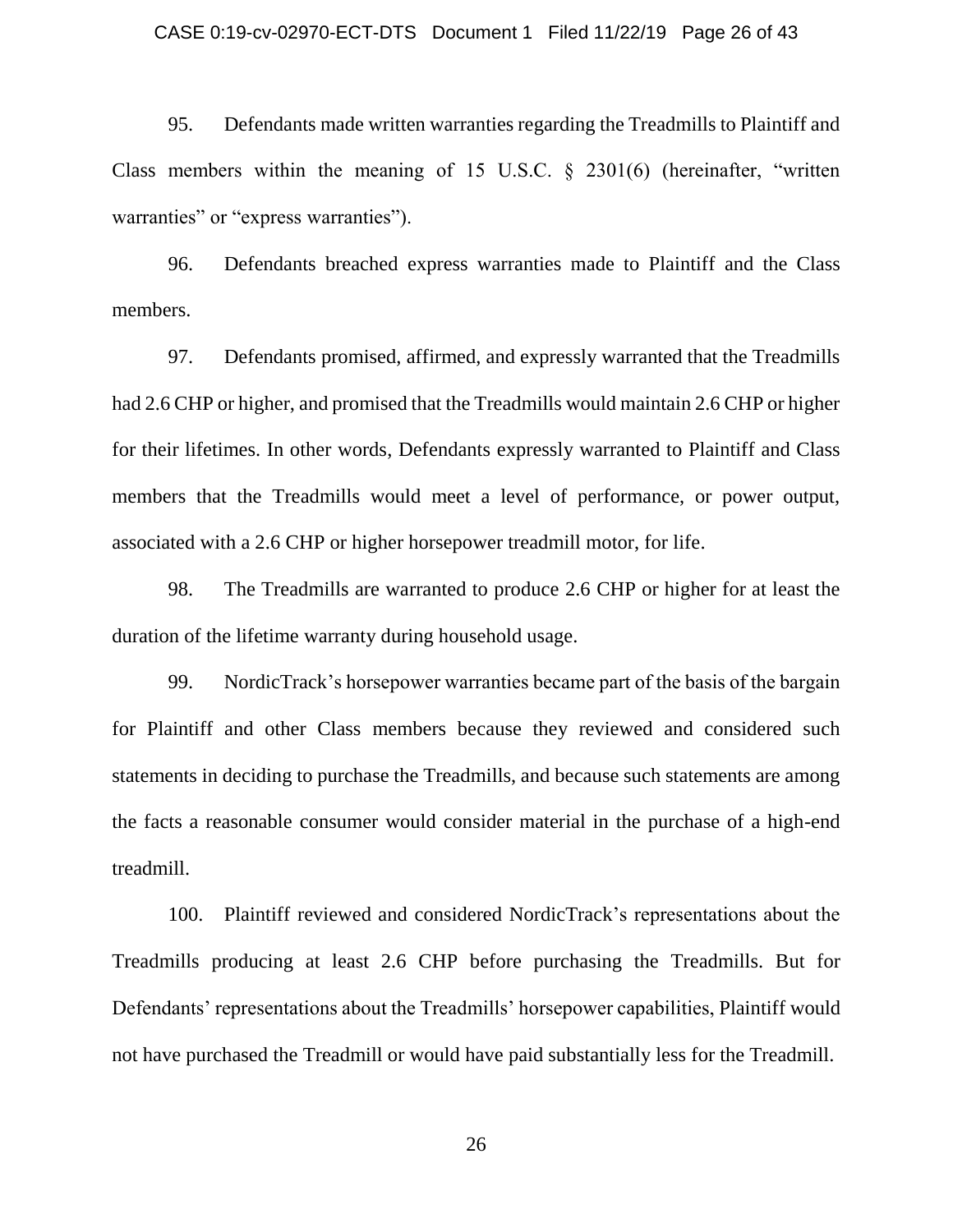### CASE 0:19-cv-02970-ECT-DTS Document 1 Filed 11/22/19 Page 26 of 43

95. Defendants made written warranties regarding the Treadmills to Plaintiff and Class members within the meaning of 15 U.S.C. § 2301(6) (hereinafter, "written warranties" or "express warranties").

96. Defendants breached express warranties made to Plaintiff and the Class members.

97. Defendants promised, affirmed, and expressly warranted that the Treadmills had 2.6 CHP or higher, and promised that the Treadmills would maintain 2.6 CHP or higher for their lifetimes. In other words, Defendants expressly warranted to Plaintiff and Class members that the Treadmills would meet a level of performance, or power output, associated with a 2.6 CHP or higher horsepower treadmill motor, for life.

98. The Treadmills are warranted to produce 2.6 CHP or higher for at least the duration of the lifetime warranty during household usage.

99. NordicTrack's horsepower warranties became part of the basis of the bargain for Plaintiff and other Class members because they reviewed and considered such statements in deciding to purchase the Treadmills, and because such statements are among the facts a reasonable consumer would consider material in the purchase of a high-end treadmill.

100. Plaintiff reviewed and considered NordicTrack's representations about the Treadmills producing at least 2.6 CHP before purchasing the Treadmills. But for Defendants' representations about the Treadmills' horsepower capabilities, Plaintiff would not have purchased the Treadmill or would have paid substantially less for the Treadmill.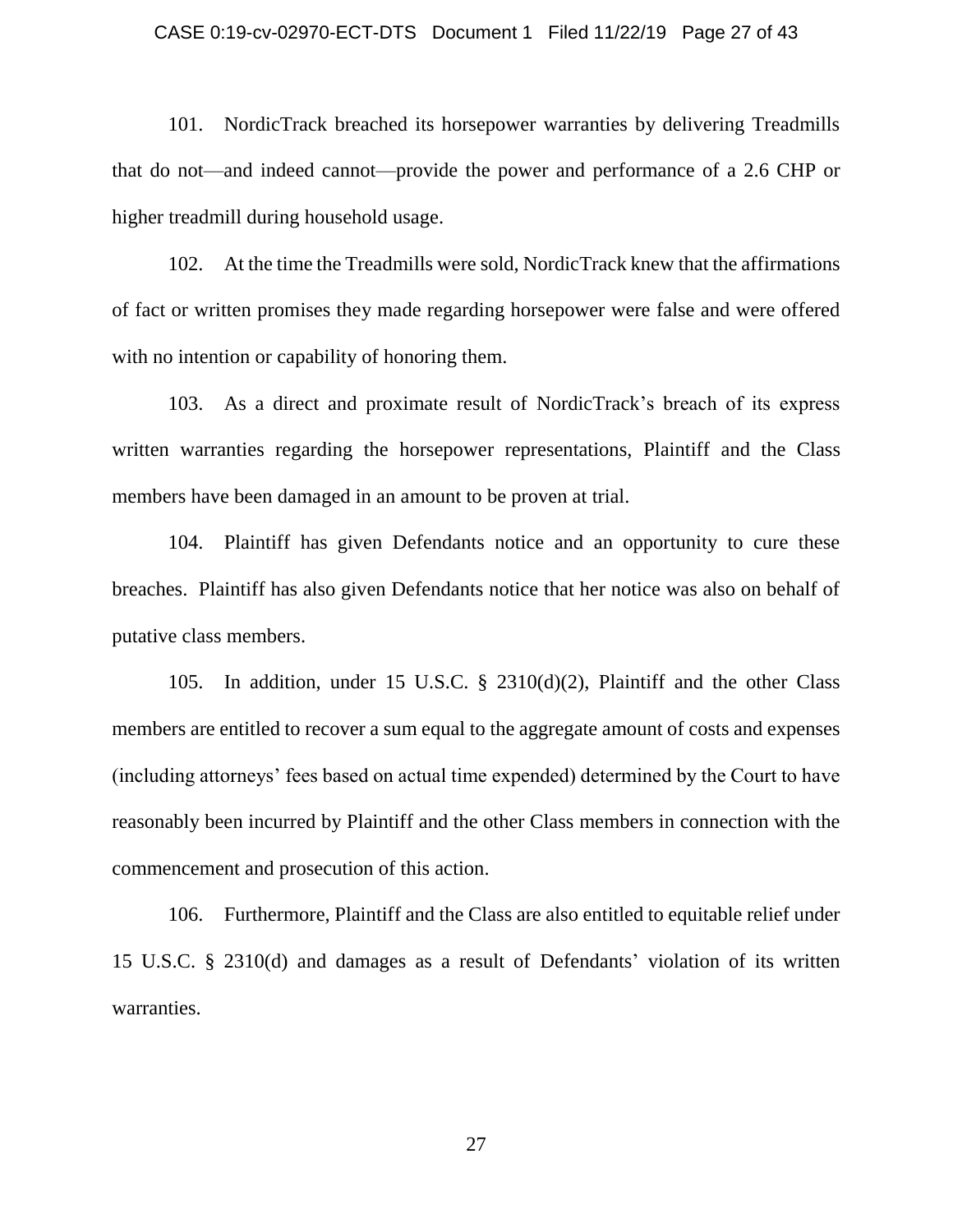### CASE 0:19-cv-02970-ECT-DTS Document 1 Filed 11/22/19 Page 27 of 43

101. NordicTrack breached its horsepower warranties by delivering Treadmills that do not—and indeed cannot—provide the power and performance of a 2.6 CHP or higher treadmill during household usage.

102. At the time the Treadmills were sold, NordicTrack knew that the affirmations of fact or written promises they made regarding horsepower were false and were offered with no intention or capability of honoring them.

103. As a direct and proximate result of NordicTrack's breach of its express written warranties regarding the horsepower representations, Plaintiff and the Class members have been damaged in an amount to be proven at trial.

104. Plaintiff has given Defendants notice and an opportunity to cure these breaches. Plaintiff has also given Defendants notice that her notice was also on behalf of putative class members.

105. In addition, under 15 U.S.C. § 2310(d)(2), Plaintiff and the other Class members are entitled to recover a sum equal to the aggregate amount of costs and expenses (including attorneys' fees based on actual time expended) determined by the Court to have reasonably been incurred by Plaintiff and the other Class members in connection with the commencement and prosecution of this action.

106. Furthermore, Plaintiff and the Class are also entitled to equitable relief under 15 U.S.C. § 2310(d) and damages as a result of Defendants' violation of its written warranties.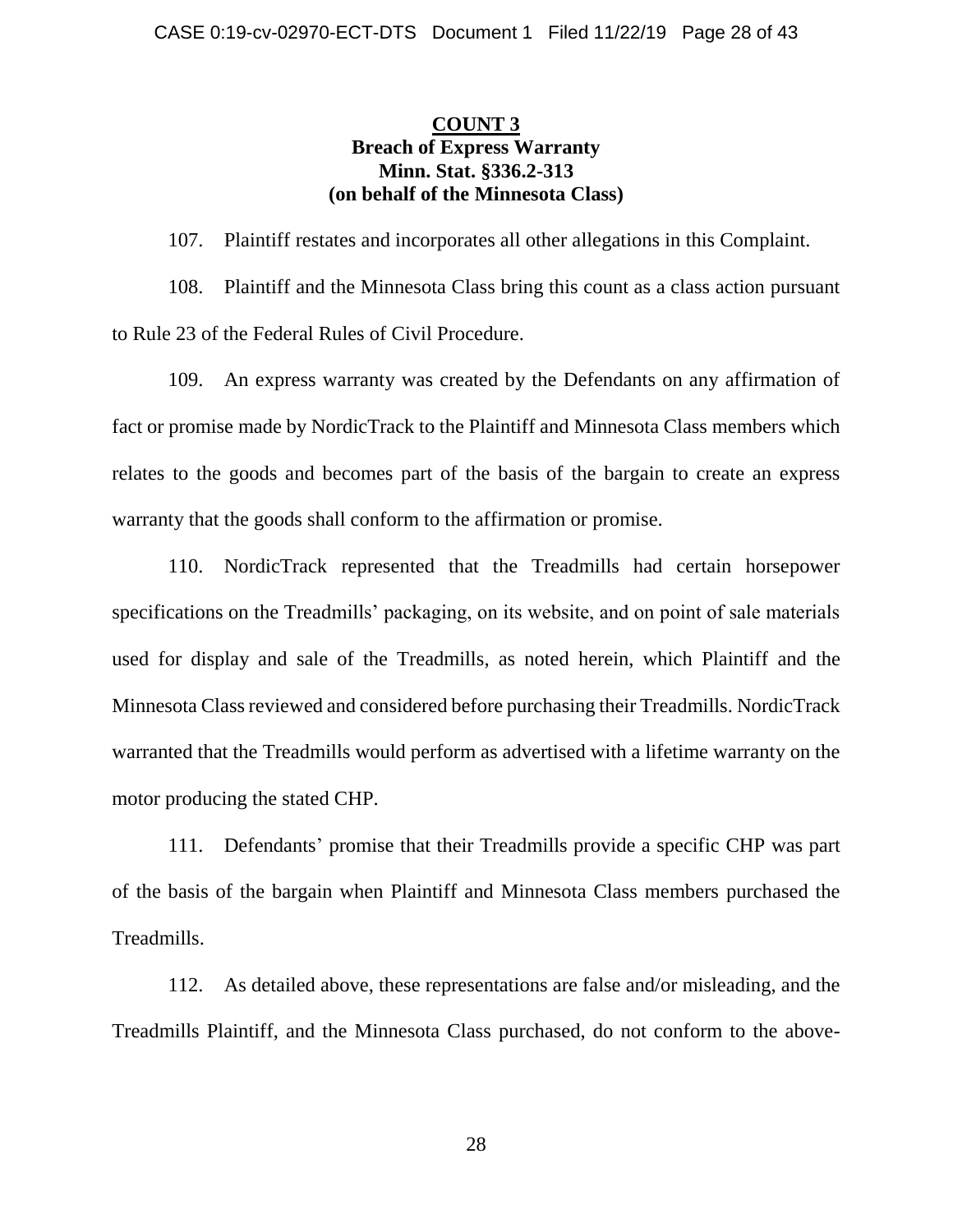# **COUNT 3 Breach of Express Warranty Minn. Stat. §336.2-313 (on behalf of the Minnesota Class)**

107. Plaintiff restates and incorporates all other allegations in this Complaint.

108. Plaintiff and the Minnesota Class bring this count as a class action pursuant to Rule 23 of the Federal Rules of Civil Procedure.

109. An express warranty was created by the Defendants on any affirmation of fact or promise made by NordicTrack to the Plaintiff and Minnesota Class members which relates to the goods and becomes part of the basis of the bargain to create an express warranty that the goods shall conform to the affirmation or promise.

110. NordicTrack represented that the Treadmills had certain horsepower specifications on the Treadmills' packaging, on its website, and on point of sale materials used for display and sale of the Treadmills, as noted herein, which Plaintiff and the Minnesota Class reviewed and considered before purchasing their Treadmills. NordicTrack warranted that the Treadmills would perform as advertised with a lifetime warranty on the motor producing the stated CHP.

111. Defendants' promise that their Treadmills provide a specific CHP was part of the basis of the bargain when Plaintiff and Minnesota Class members purchased the Treadmills.

112. As detailed above, these representations are false and/or misleading, and the Treadmills Plaintiff, and the Minnesota Class purchased, do not conform to the above-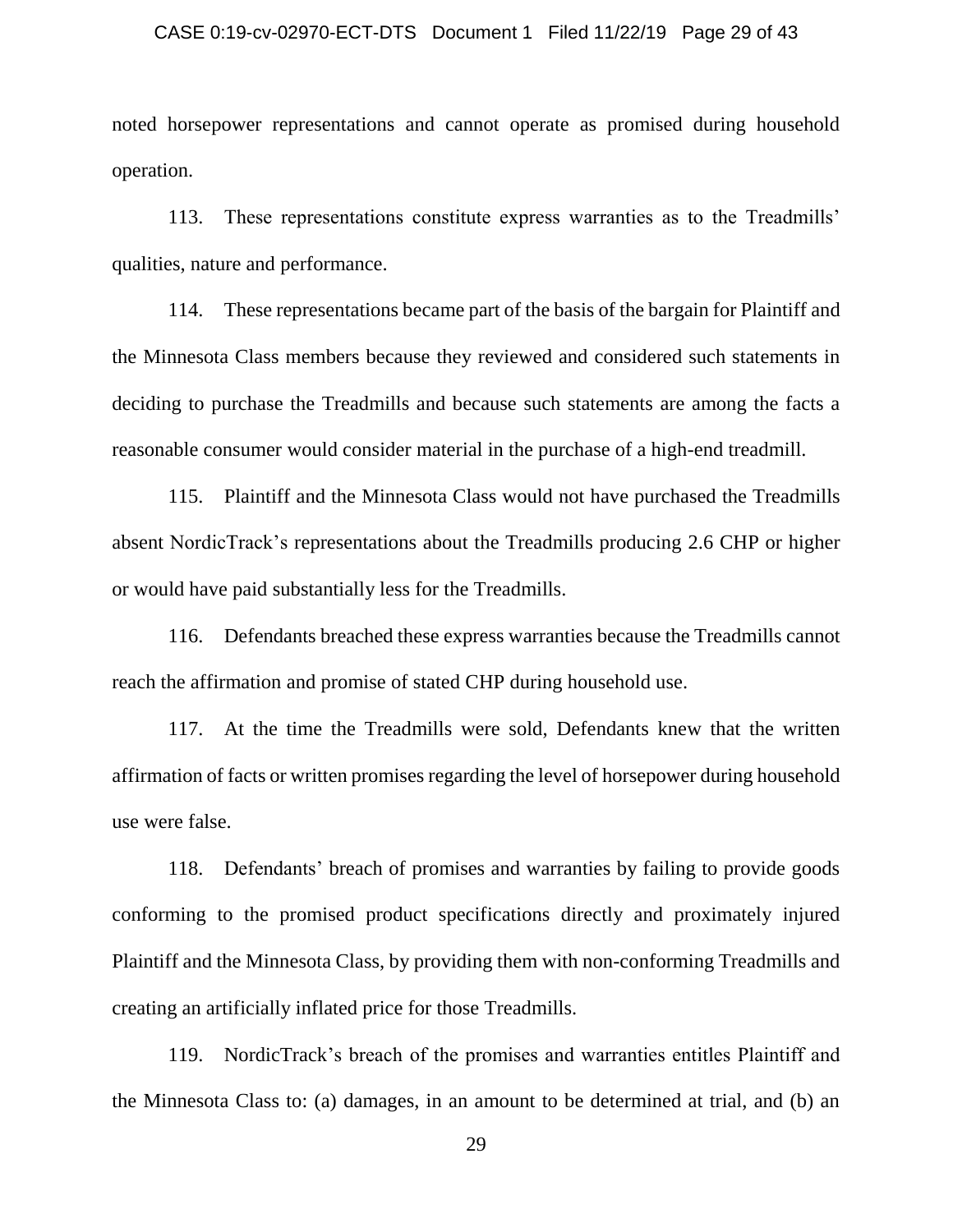# CASE 0:19-cv-02970-ECT-DTS Document 1 Filed 11/22/19 Page 29 of 43

noted horsepower representations and cannot operate as promised during household operation.

113. These representations constitute express warranties as to the Treadmills' qualities, nature and performance.

114. These representations became part of the basis of the bargain for Plaintiff and the Minnesota Class members because they reviewed and considered such statements in deciding to purchase the Treadmills and because such statements are among the facts a reasonable consumer would consider material in the purchase of a high-end treadmill.

115. Plaintiff and the Minnesota Class would not have purchased the Treadmills absent NordicTrack's representations about the Treadmills producing 2.6 CHP or higher or would have paid substantially less for the Treadmills.

116. Defendants breached these express warranties because the Treadmills cannot reach the affirmation and promise of stated CHP during household use.

117. At the time the Treadmills were sold, Defendants knew that the written affirmation of facts or written promises regarding the level of horsepower during household use were false.

118. Defendants' breach of promises and warranties by failing to provide goods conforming to the promised product specifications directly and proximately injured Plaintiff and the Minnesota Class, by providing them with non-conforming Treadmills and creating an artificially inflated price for those Treadmills.

119. NordicTrack's breach of the promises and warranties entitles Plaintiff and the Minnesota Class to: (a) damages, in an amount to be determined at trial, and (b) an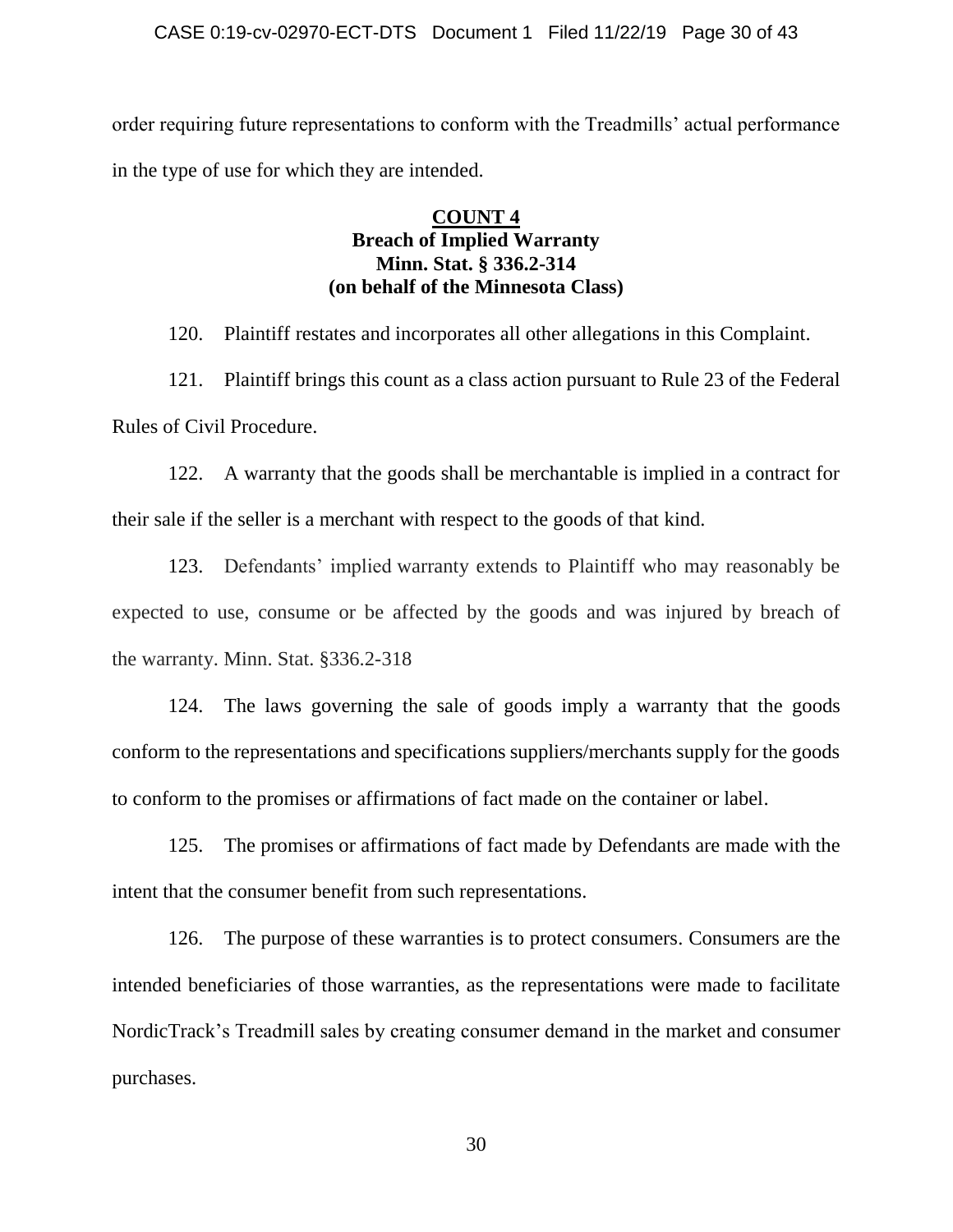### CASE 0:19-cv-02970-ECT-DTS Document 1 Filed 11/22/19 Page 30 of 43

order requiring future representations to conform with the Treadmills' actual performance in the type of use for which they are intended.

## **COUNT 4 Breach of Implied Warranty Minn. Stat. § 336.2-314 (on behalf of the Minnesota Class)**

120. Plaintiff restates and incorporates all other allegations in this Complaint.

121. Plaintiff brings this count as a class action pursuant to Rule 23 of the Federal Rules of Civil Procedure.

122. A warranty that the goods shall be merchantable is implied in a contract for their sale if the seller is a merchant with respect to the goods of that kind.

123. Defendants' implied warranty extends to Plaintiff who may reasonably be expected to use, consume or be affected by the goods and was injured by breach of the warranty. Minn. Stat. §336.2-318

124. The laws governing the sale of goods imply a warranty that the goods conform to the representations and specifications suppliers/merchants supply for the goods to conform to the promises or affirmations of fact made on the container or label.

125. The promises or affirmations of fact made by Defendants are made with the intent that the consumer benefit from such representations.

126. The purpose of these warranties is to protect consumers. Consumers are the intended beneficiaries of those warranties, as the representations were made to facilitate NordicTrack's Treadmill sales by creating consumer demand in the market and consumer purchases.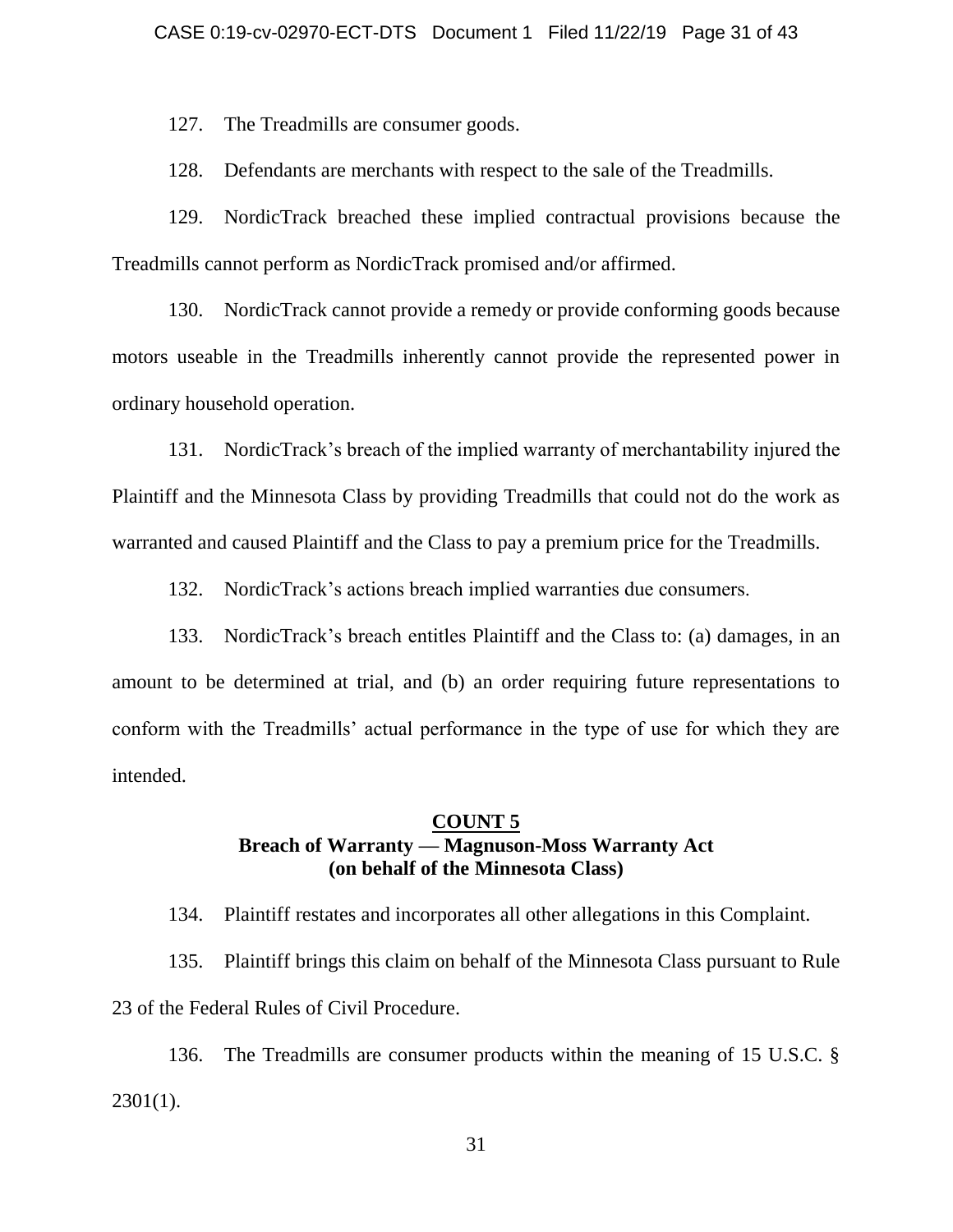127. The Treadmills are consumer goods.

128. Defendants are merchants with respect to the sale of the Treadmills.

129. NordicTrack breached these implied contractual provisions because the Treadmills cannot perform as NordicTrack promised and/or affirmed.

130. NordicTrack cannot provide a remedy or provide conforming goods because motors useable in the Treadmills inherently cannot provide the represented power in ordinary household operation.

131. NordicTrack's breach of the implied warranty of merchantability injured the Plaintiff and the Minnesota Class by providing Treadmills that could not do the work as warranted and caused Plaintiff and the Class to pay a premium price for the Treadmills.

132. NordicTrack's actions breach implied warranties due consumers.

133. NordicTrack's breach entitles Plaintiff and the Class to: (a) damages, in an amount to be determined at trial, and (b) an order requiring future representations to conform with the Treadmills' actual performance in the type of use for which they are intended.

## **COUNT 5 Breach of Warranty — Magnuson-Moss Warranty Act (on behalf of the Minnesota Class)**

134. Plaintiff restates and incorporates all other allegations in this Complaint.

135. Plaintiff brings this claim on behalf of the Minnesota Class pursuant to Rule 23 of the Federal Rules of Civil Procedure.

136. The Treadmills are consumer products within the meaning of 15 U.S.C. §  $2301(1)$ .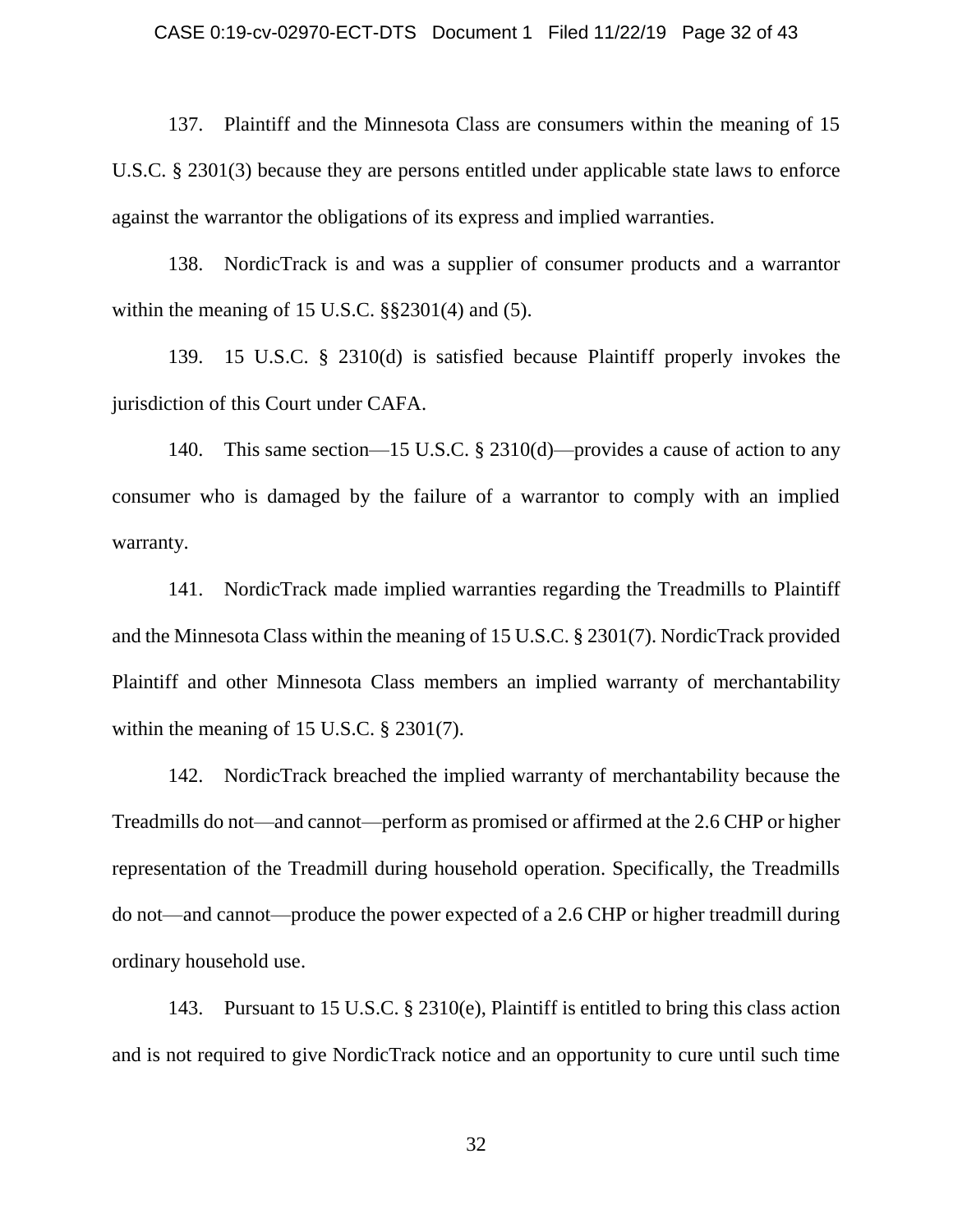### CASE 0:19-cv-02970-ECT-DTS Document 1 Filed 11/22/19 Page 32 of 43

137. Plaintiff and the Minnesota Class are consumers within the meaning of 15 U.S.C. § 2301(3) because they are persons entitled under applicable state laws to enforce against the warrantor the obligations of its express and implied warranties.

138. NordicTrack is and was a supplier of consumer products and a warrantor within the meaning of 15 U.S.C.  $\S$  $\S$ 2301(4) and (5).

139. 15 U.S.C. § 2310(d) is satisfied because Plaintiff properly invokes the jurisdiction of this Court under CAFA.

140. This same section—15 U.S.C. § 2310(d)—provides a cause of action to any consumer who is damaged by the failure of a warrantor to comply with an implied warranty.

141. NordicTrack made implied warranties regarding the Treadmills to Plaintiff and the Minnesota Class within the meaning of 15 U.S.C. § 2301(7). NordicTrack provided Plaintiff and other Minnesota Class members an implied warranty of merchantability within the meaning of 15 U.S.C. § 2301(7).

142. NordicTrack breached the implied warranty of merchantability because the Treadmills do not—and cannot—perform as promised or affirmed at the 2.6 CHP or higher representation of the Treadmill during household operation. Specifically, the Treadmills do not—and cannot—produce the power expected of a 2.6 CHP or higher treadmill during ordinary household use.

143. Pursuant to 15 U.S.C. § 2310(e), Plaintiff is entitled to bring this class action and is not required to give NordicTrack notice and an opportunity to cure until such time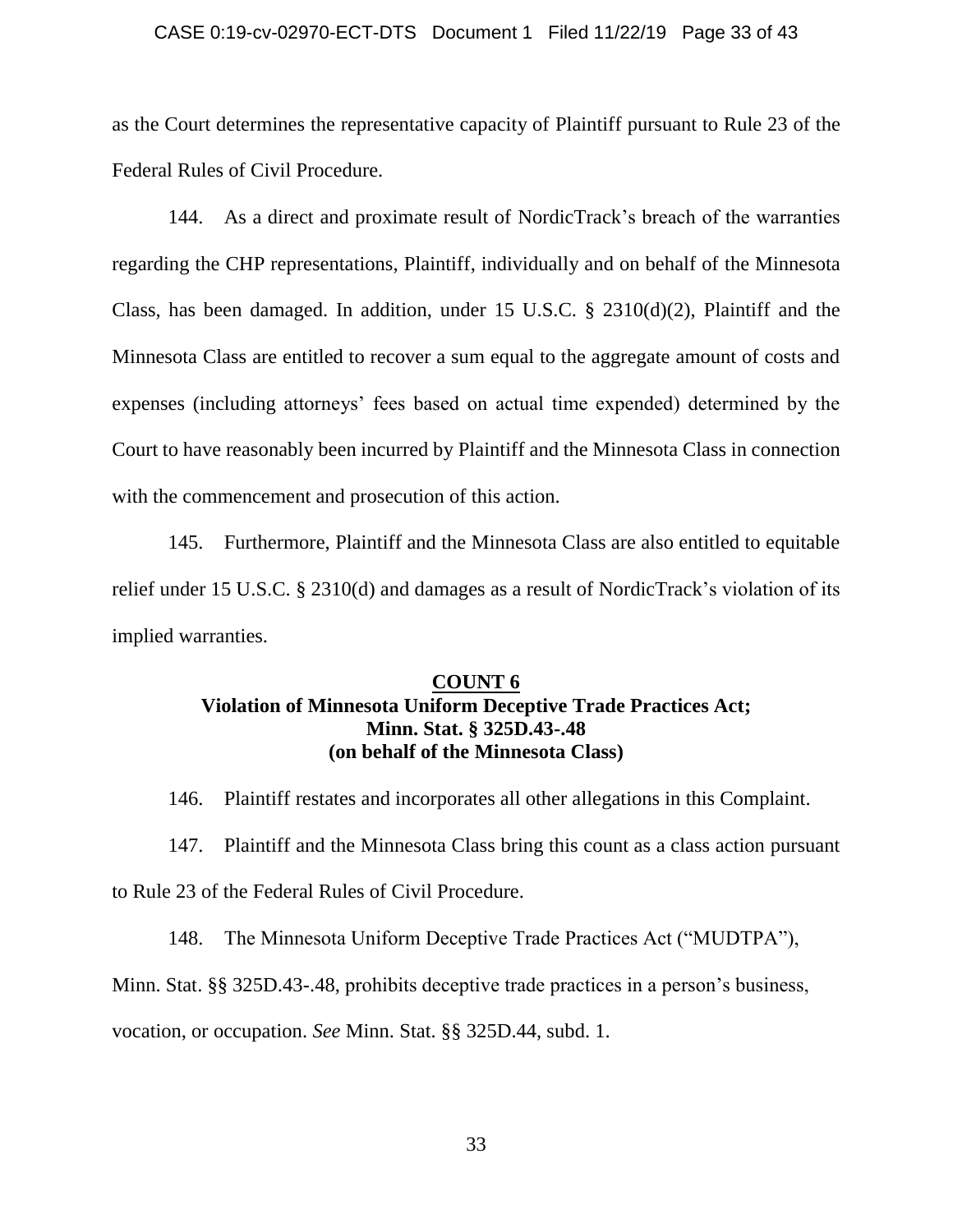### CASE 0:19-cv-02970-ECT-DTS Document 1 Filed 11/22/19 Page 33 of 43

as the Court determines the representative capacity of Plaintiff pursuant to Rule 23 of the Federal Rules of Civil Procedure.

144. As a direct and proximate result of NordicTrack's breach of the warranties regarding the CHP representations, Plaintiff, individually and on behalf of the Minnesota Class, has been damaged. In addition, under 15 U.S.C. § 2310(d)(2), Plaintiff and the Minnesota Class are entitled to recover a sum equal to the aggregate amount of costs and expenses (including attorneys' fees based on actual time expended) determined by the Court to have reasonably been incurred by Plaintiff and the Minnesota Class in connection with the commencement and prosecution of this action.

145. Furthermore, Plaintiff and the Minnesota Class are also entitled to equitable relief under 15 U.S.C. § 2310(d) and damages as a result of NordicTrack's violation of its implied warranties.

### **COUNT 6 Violation of Minnesota Uniform Deceptive Trade Practices Act; Minn. Stat. § 325D.43-.48 (on behalf of the Minnesota Class)**

146. Plaintiff restates and incorporates all other allegations in this Complaint.

147. Plaintiff and the Minnesota Class bring this count as a class action pursuant to Rule 23 of the Federal Rules of Civil Procedure.

148. The Minnesota Uniform Deceptive Trade Practices Act ("MUDTPA"), Minn. Stat. §§ 325D.43-.48, prohibits deceptive trade practices in a person's business,

vocation, or occupation. *See* Minn. Stat. §§ 325D.44, subd. 1.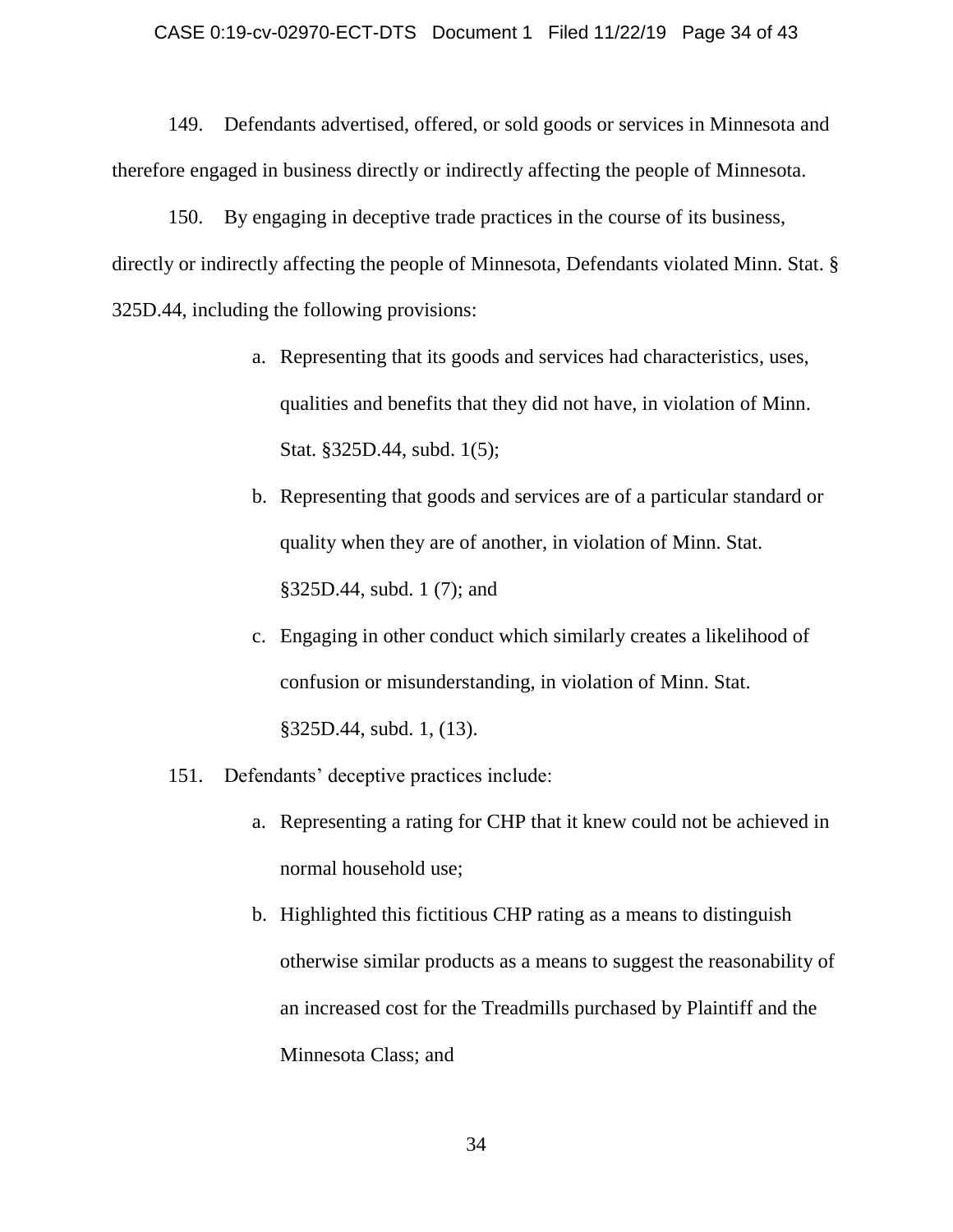### CASE 0:19-cv-02970-ECT-DTS Document 1 Filed 11/22/19 Page 34 of 43

149. Defendants advertised, offered, or sold goods or services in Minnesota and therefore engaged in business directly or indirectly affecting the people of Minnesota.

150. By engaging in deceptive trade practices in the course of its business, directly or indirectly affecting the people of Minnesota, Defendants violated Minn. Stat. § 325D.44, including the following provisions:

- a. Representing that its goods and services had characteristics, uses, qualities and benefits that they did not have, in violation of Minn. Stat. §325D.44, subd. 1(5);
- b. Representing that goods and services are of a particular standard or quality when they are of another, in violation of Minn. Stat. §325D.44, subd. 1 (7); and
- c. Engaging in other conduct which similarly creates a likelihood of confusion or misunderstanding, in violation of Minn. Stat. §325D.44, subd. 1, (13).
- 151. Defendants' deceptive practices include:
	- a. Representing a rating for CHP that it knew could not be achieved in normal household use;
	- b. Highlighted this fictitious CHP rating as a means to distinguish otherwise similar products as a means to suggest the reasonability of an increased cost for the Treadmills purchased by Plaintiff and the Minnesota Class; and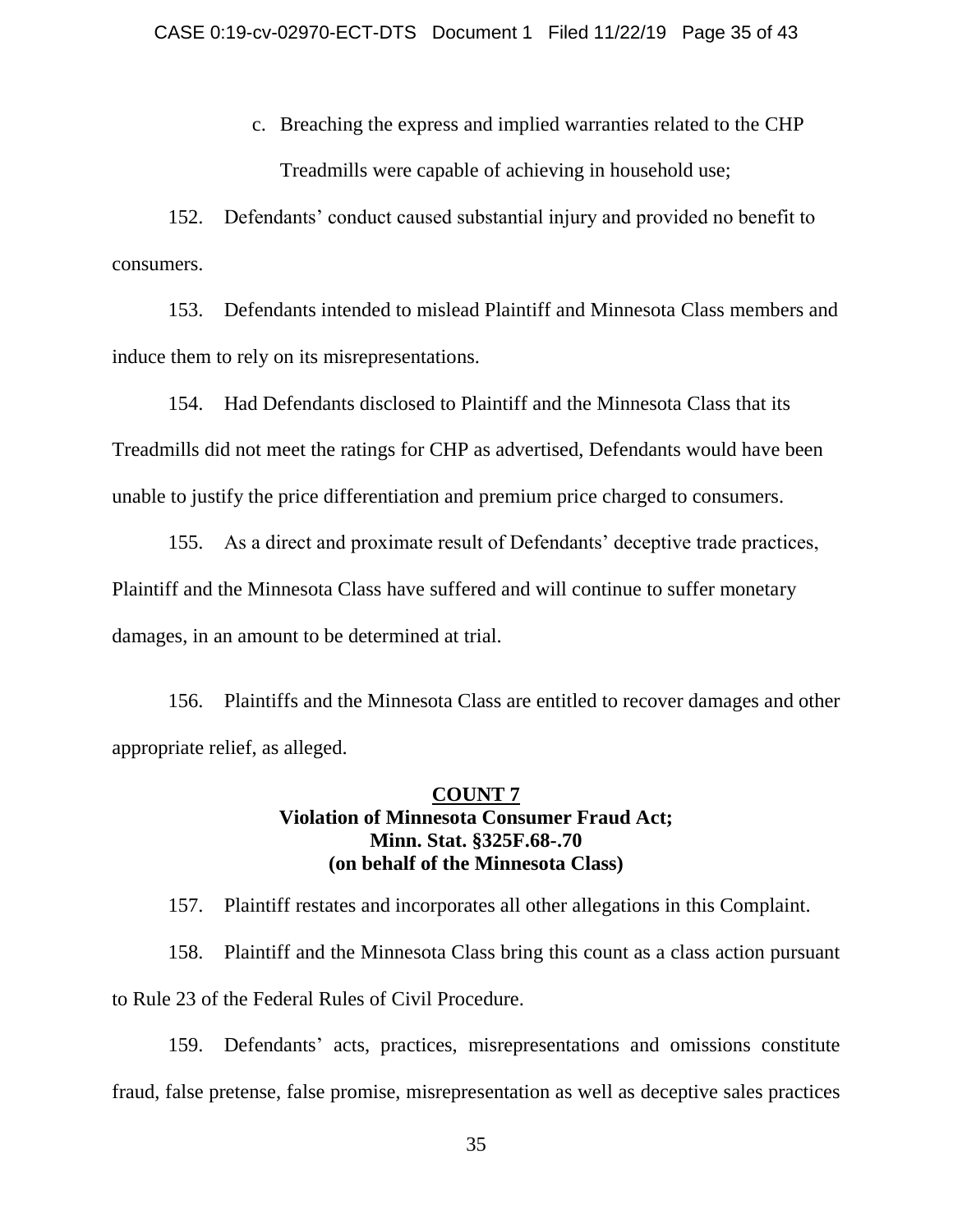c. Breaching the express and implied warranties related to the CHP Treadmills were capable of achieving in household use;

152. Defendants' conduct caused substantial injury and provided no benefit to consumers.

153. Defendants intended to mislead Plaintiff and Minnesota Class members and induce them to rely on its misrepresentations.

154. Had Defendants disclosed to Plaintiff and the Minnesota Class that its Treadmills did not meet the ratings for CHP as advertised, Defendants would have been unable to justify the price differentiation and premium price charged to consumers.

155. As a direct and proximate result of Defendants' deceptive trade practices, Plaintiff and the Minnesota Class have suffered and will continue to suffer monetary damages, in an amount to be determined at trial.

156. Plaintiffs and the Minnesota Class are entitled to recover damages and other appropriate relief, as alleged.

# **COUNT 7 Violation of Minnesota Consumer Fraud Act; Minn. Stat. §325F.68-.70 (on behalf of the Minnesota Class)**

157. Plaintiff restates and incorporates all other allegations in this Complaint.

158. Plaintiff and the Minnesota Class bring this count as a class action pursuant to Rule 23 of the Federal Rules of Civil Procedure.

159. Defendants' acts, practices, misrepresentations and omissions constitute fraud, false pretense, false promise, misrepresentation as well as deceptive sales practices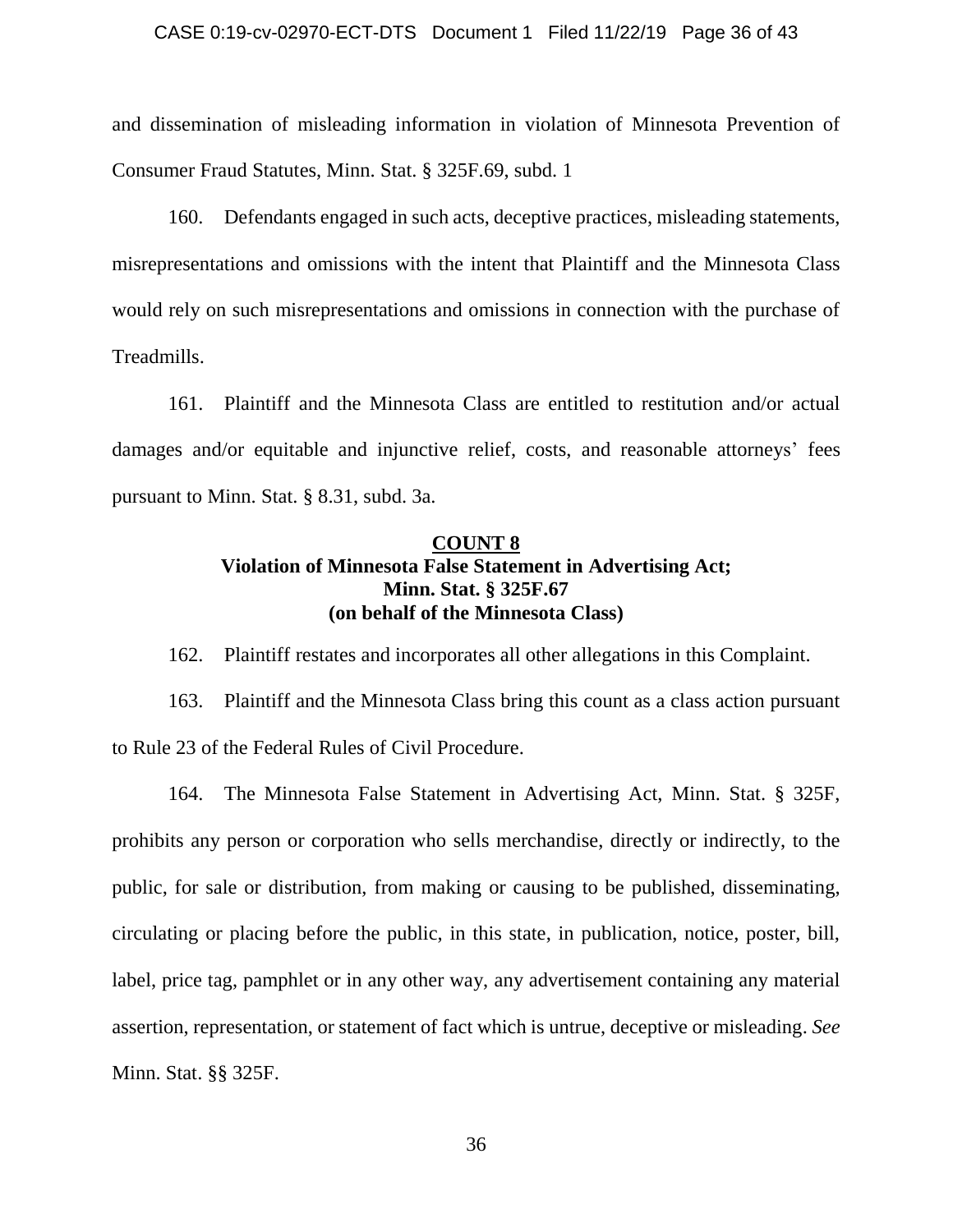### CASE 0:19-cv-02970-ECT-DTS Document 1 Filed 11/22/19 Page 36 of 43

and dissemination of misleading information in violation of Minnesota Prevention of Consumer Fraud Statutes, Minn. Stat. § 325F.69, subd. 1

160. Defendants engaged in such acts, deceptive practices, misleading statements, misrepresentations and omissions with the intent that Plaintiff and the Minnesota Class would rely on such misrepresentations and omissions in connection with the purchase of Treadmills.

161. Plaintiff and the Minnesota Class are entitled to restitution and/or actual damages and/or equitable and injunctive relief, costs, and reasonable attorneys' fees pursuant to Minn. Stat. § 8.31, subd. 3a.

## **COUNT 8 Violation of Minnesota False Statement in Advertising Act; Minn. Stat. § 325F.67 (on behalf of the Minnesota Class)**

162. Plaintiff restates and incorporates all other allegations in this Complaint.

163. Plaintiff and the Minnesota Class bring this count as a class action pursuant to Rule 23 of the Federal Rules of Civil Procedure.

164. The Minnesota False Statement in Advertising Act, Minn. Stat. § 325F, prohibits any person or corporation who sells merchandise, directly or indirectly, to the public, for sale or distribution, from making or causing to be published, disseminating, circulating or placing before the public, in this state, in publication, notice, poster, bill, label, price tag, pamphlet or in any other way, any advertisement containing any material assertion, representation, or statement of fact which is untrue, deceptive or misleading. *See* Minn. Stat. §§ 325F.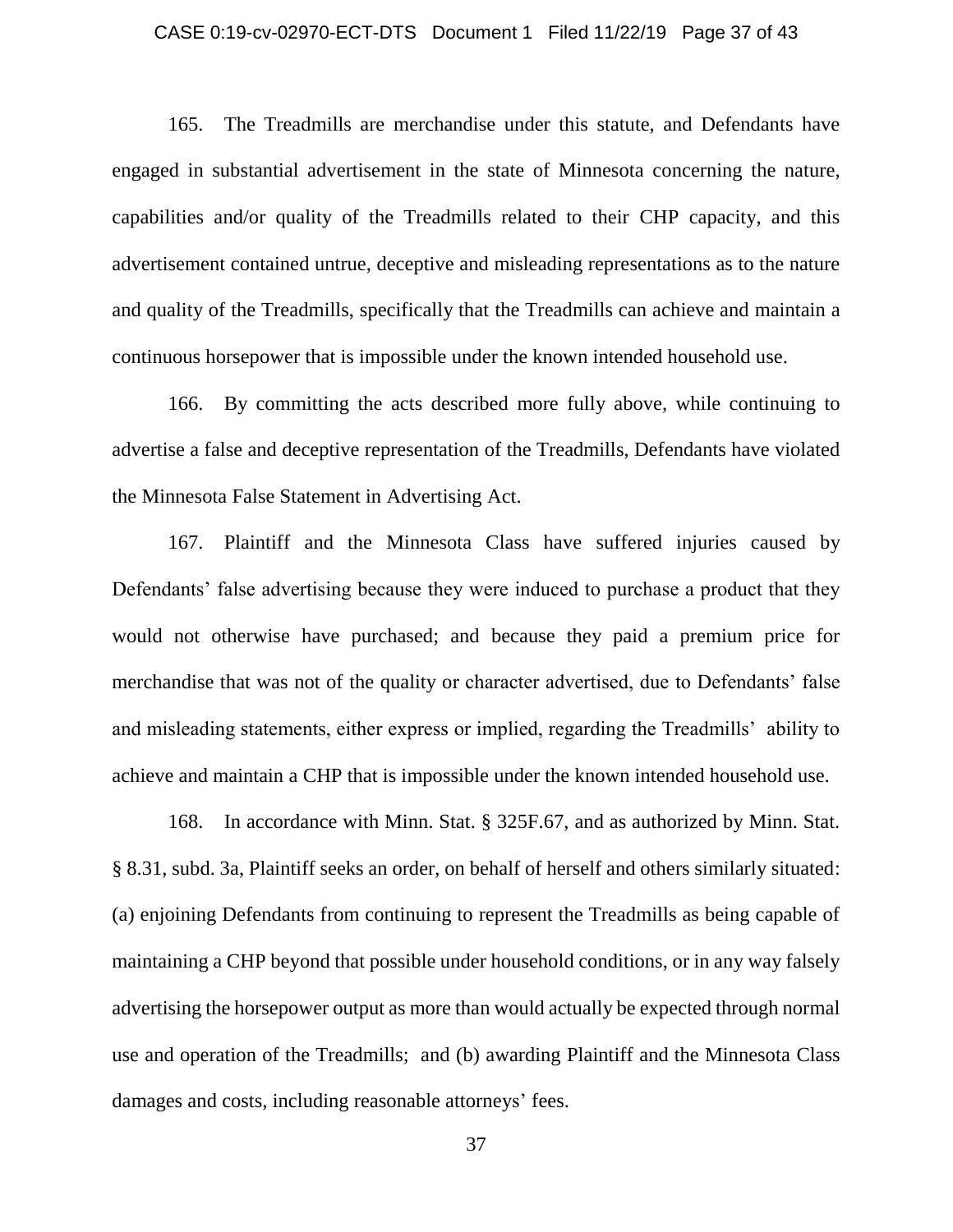### CASE 0:19-cv-02970-ECT-DTS Document 1 Filed 11/22/19 Page 37 of 43

165. The Treadmills are merchandise under this statute, and Defendants have engaged in substantial advertisement in the state of Minnesota concerning the nature, capabilities and/or quality of the Treadmills related to their CHP capacity, and this advertisement contained untrue, deceptive and misleading representations as to the nature and quality of the Treadmills, specifically that the Treadmills can achieve and maintain a continuous horsepower that is impossible under the known intended household use.

166. By committing the acts described more fully above, while continuing to advertise a false and deceptive representation of the Treadmills, Defendants have violated the Minnesota False Statement in Advertising Act.

167. Plaintiff and the Minnesota Class have suffered injuries caused by Defendants' false advertising because they were induced to purchase a product that they would not otherwise have purchased; and because they paid a premium price for merchandise that was not of the quality or character advertised, due to Defendants' false and misleading statements, either express or implied, regarding the Treadmills' ability to achieve and maintain a CHP that is impossible under the known intended household use.

168. In accordance with Minn. Stat. § 325F.67, and as authorized by Minn. Stat. § 8.31, subd. 3a, Plaintiff seeks an order, on behalf of herself and others similarly situated: (a) enjoining Defendants from continuing to represent the Treadmills as being capable of maintaining a CHP beyond that possible under household conditions, or in any way falsely advertising the horsepower output as more than would actually be expected through normal use and operation of the Treadmills; and (b) awarding Plaintiff and the Minnesota Class damages and costs, including reasonable attorneys' fees.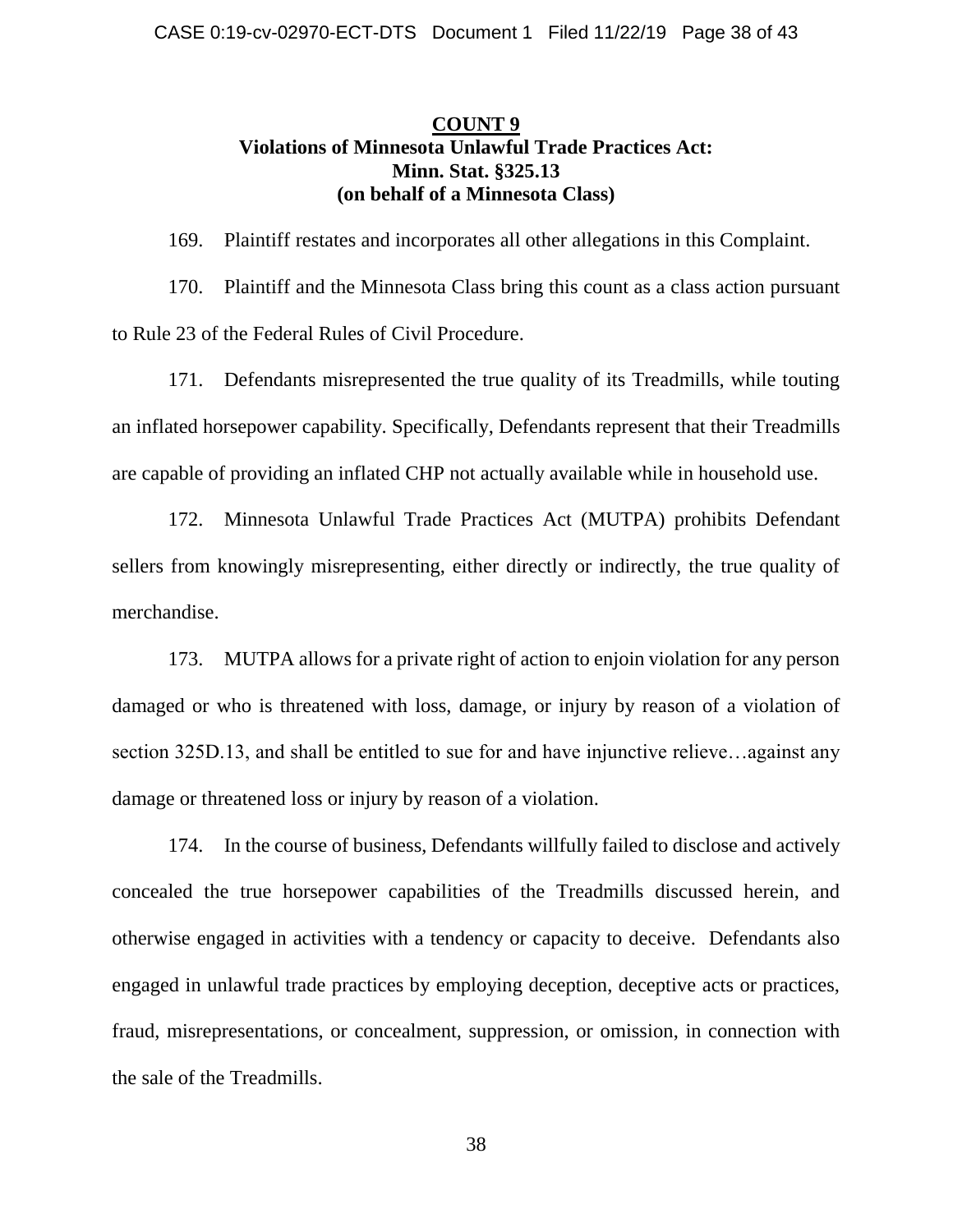## **COUNT 9 Violations of Minnesota Unlawful Trade Practices Act: Minn. Stat. §325.13 (on behalf of a Minnesota Class)**

169. Plaintiff restates and incorporates all other allegations in this Complaint.

170. Plaintiff and the Minnesota Class bring this count as a class action pursuant to Rule 23 of the Federal Rules of Civil Procedure.

171. Defendants misrepresented the true quality of its Treadmills, while touting an inflated horsepower capability. Specifically, Defendants represent that their Treadmills are capable of providing an inflated CHP not actually available while in household use.

172. Minnesota Unlawful Trade Practices Act (MUTPA) prohibits Defendant sellers from knowingly misrepresenting, either directly or indirectly, the true quality of merchandise.

173. MUTPA allows for a private right of action to enjoin violation for any person damaged or who is threatened with loss, damage, or injury by reason of a violation of section 325D.13, and shall be entitled to sue for and have injunctive relieve…against any damage or threatened loss or injury by reason of a violation.

174. In the course of business, Defendants willfully failed to disclose and actively concealed the true horsepower capabilities of the Treadmills discussed herein, and otherwise engaged in activities with a tendency or capacity to deceive. Defendants also engaged in unlawful trade practices by employing deception, deceptive acts or practices, fraud, misrepresentations, or concealment, suppression, or omission, in connection with the sale of the Treadmills.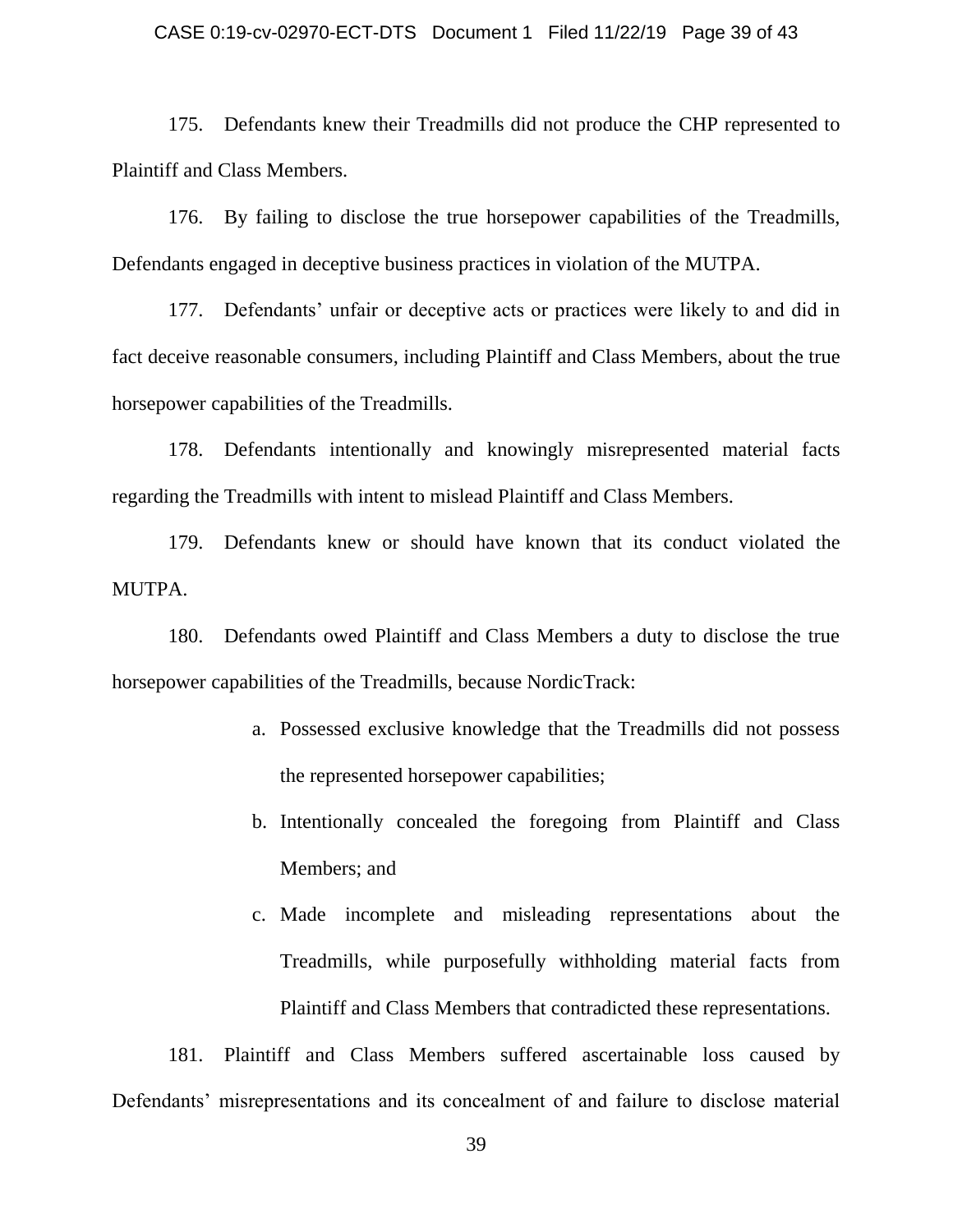### CASE 0:19-cv-02970-ECT-DTS Document 1 Filed 11/22/19 Page 39 of 43

175. Defendants knew their Treadmills did not produce the CHP represented to Plaintiff and Class Members.

176. By failing to disclose the true horsepower capabilities of the Treadmills, Defendants engaged in deceptive business practices in violation of the MUTPA.

177. Defendants' unfair or deceptive acts or practices were likely to and did in fact deceive reasonable consumers, including Plaintiff and Class Members, about the true horsepower capabilities of the Treadmills.

178. Defendants intentionally and knowingly misrepresented material facts regarding the Treadmills with intent to mislead Plaintiff and Class Members.

179. Defendants knew or should have known that its conduct violated the MUTPA.

180. Defendants owed Plaintiff and Class Members a duty to disclose the true horsepower capabilities of the Treadmills, because NordicTrack:

- a. Possessed exclusive knowledge that the Treadmills did not possess the represented horsepower capabilities;
- b. Intentionally concealed the foregoing from Plaintiff and Class Members; and
- c. Made incomplete and misleading representations about the Treadmills, while purposefully withholding material facts from Plaintiff and Class Members that contradicted these representations.

181. Plaintiff and Class Members suffered ascertainable loss caused by Defendants' misrepresentations and its concealment of and failure to disclose material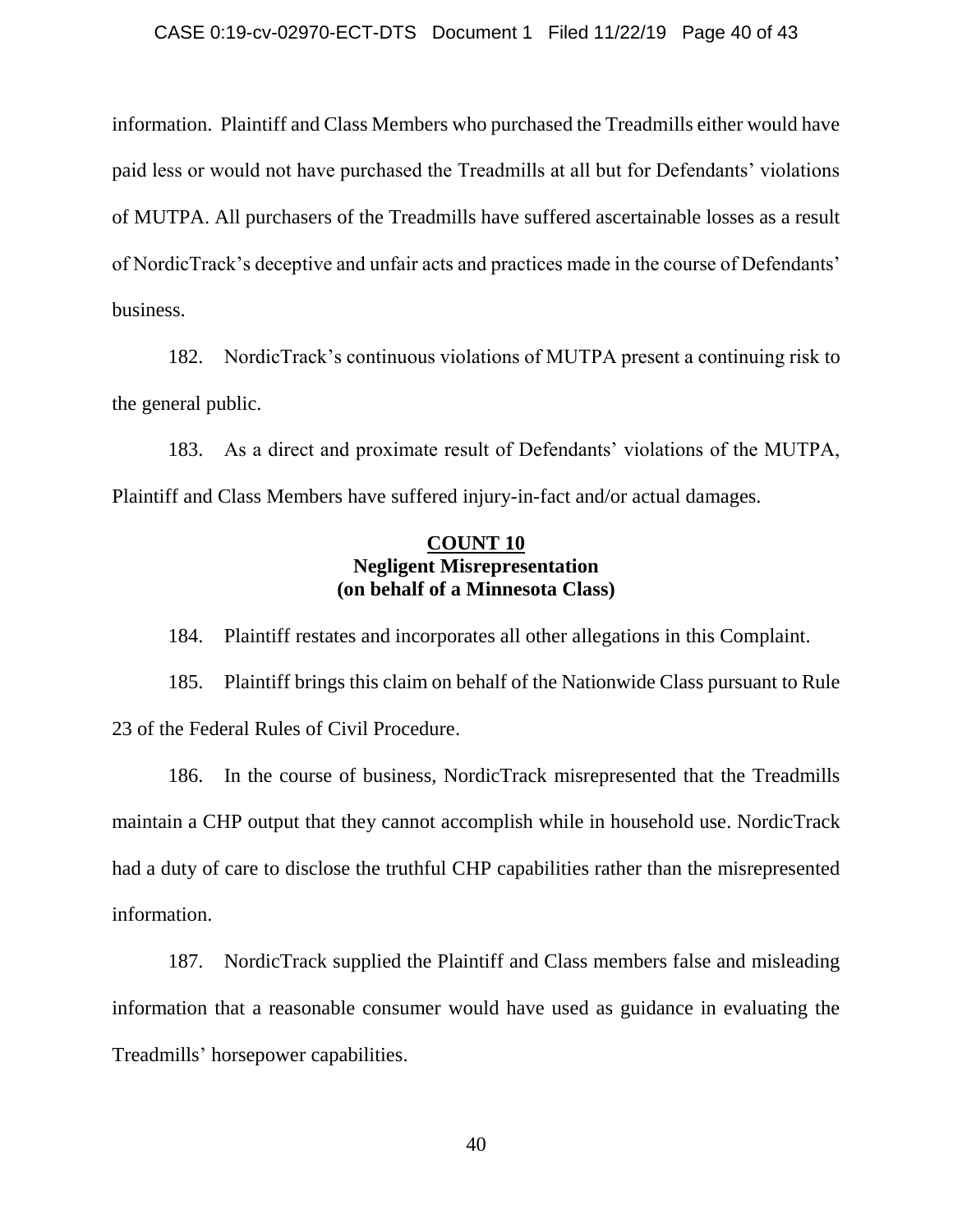information. Plaintiff and Class Members who purchased the Treadmills either would have paid less or would not have purchased the Treadmills at all but for Defendants' violations of MUTPA. All purchasers of the Treadmills have suffered ascertainable losses as a result of NordicTrack's deceptive and unfair acts and practices made in the course of Defendants' business.

182. NordicTrack's continuous violations of MUTPA present a continuing risk to the general public.

183. As a direct and proximate result of Defendants' violations of the MUTPA, Plaintiff and Class Members have suffered injury-in-fact and/or actual damages.

## **COUNT 10 Negligent Misrepresentation (on behalf of a Minnesota Class)**

184. Plaintiff restates and incorporates all other allegations in this Complaint.

185. Plaintiff brings this claim on behalf of the Nationwide Class pursuant to Rule 23 of the Federal Rules of Civil Procedure.

186. In the course of business, NordicTrack misrepresented that the Treadmills maintain a CHP output that they cannot accomplish while in household use. NordicTrack had a duty of care to disclose the truthful CHP capabilities rather than the misrepresented information.

187. NordicTrack supplied the Plaintiff and Class members false and misleading information that a reasonable consumer would have used as guidance in evaluating the Treadmills' horsepower capabilities.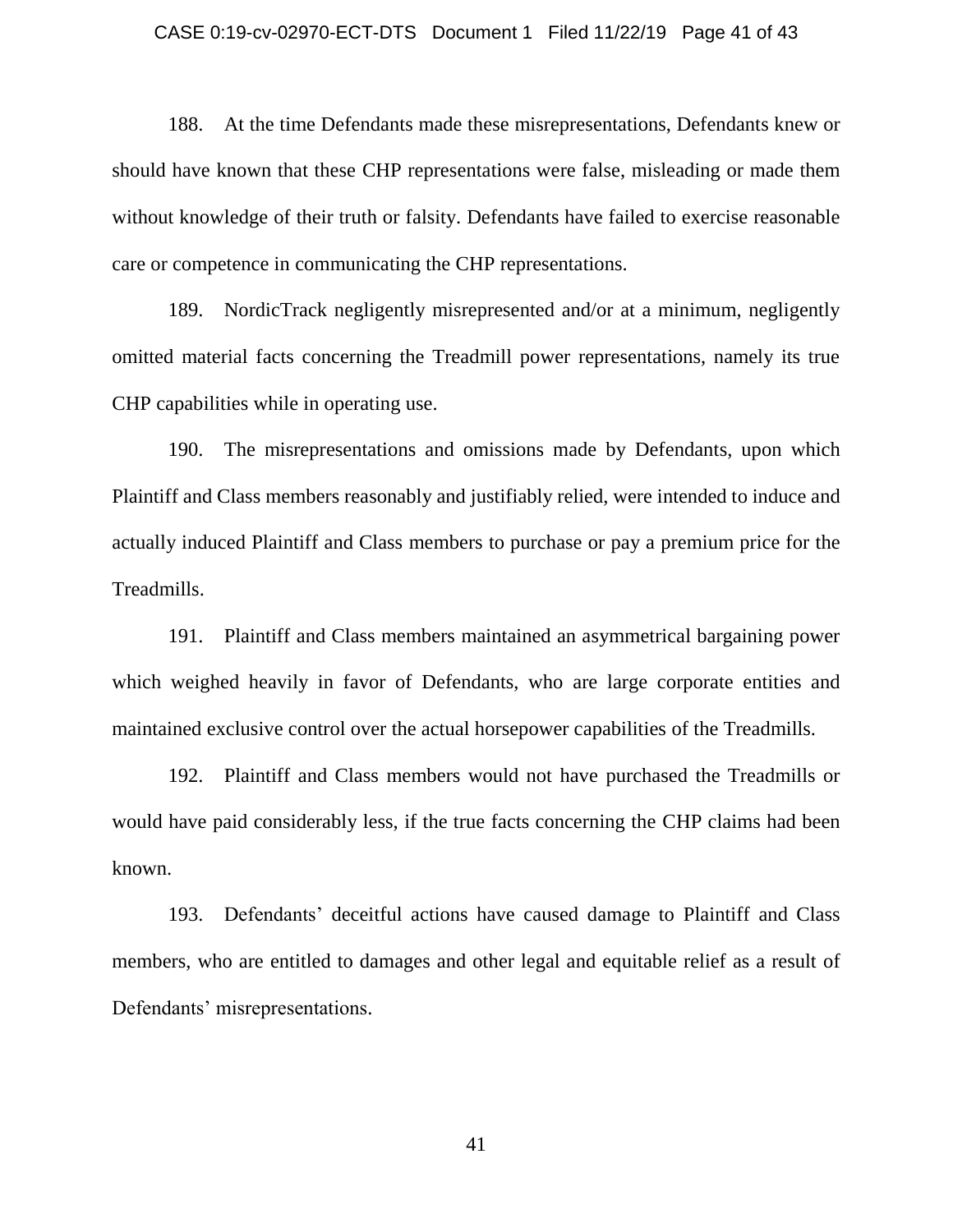### CASE 0:19-cv-02970-ECT-DTS Document 1 Filed 11/22/19 Page 41 of 43

188. At the time Defendants made these misrepresentations, Defendants knew or should have known that these CHP representations were false, misleading or made them without knowledge of their truth or falsity. Defendants have failed to exercise reasonable care or competence in communicating the CHP representations.

189. NordicTrack negligently misrepresented and/or at a minimum, negligently omitted material facts concerning the Treadmill power representations, namely its true CHP capabilities while in operating use.

190. The misrepresentations and omissions made by Defendants, upon which Plaintiff and Class members reasonably and justifiably relied, were intended to induce and actually induced Plaintiff and Class members to purchase or pay a premium price for the Treadmills.

191. Plaintiff and Class members maintained an asymmetrical bargaining power which weighed heavily in favor of Defendants, who are large corporate entities and maintained exclusive control over the actual horsepower capabilities of the Treadmills.

192. Plaintiff and Class members would not have purchased the Treadmills or would have paid considerably less, if the true facts concerning the CHP claims had been known.

193. Defendants' deceitful actions have caused damage to Plaintiff and Class members, who are entitled to damages and other legal and equitable relief as a result of Defendants' misrepresentations.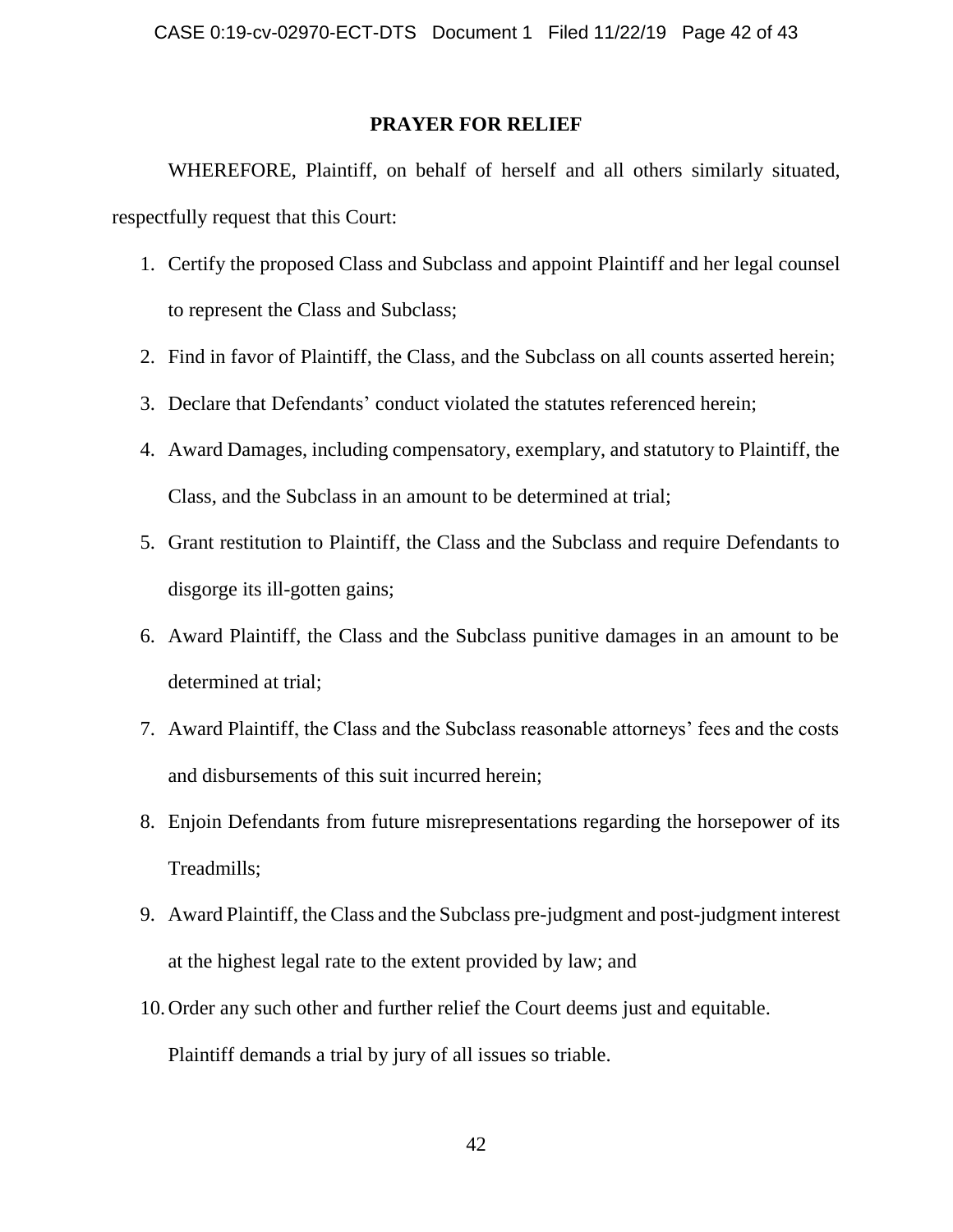### **PRAYER FOR RELIEF**

WHEREFORE, Plaintiff, on behalf of herself and all others similarly situated, respectfully request that this Court:

- 1. Certify the proposed Class and Subclass and appoint Plaintiff and her legal counsel to represent the Class and Subclass;
- 2. Find in favor of Plaintiff, the Class, and the Subclass on all counts asserted herein;
- 3. Declare that Defendants' conduct violated the statutes referenced herein;
- 4. Award Damages, including compensatory, exemplary, and statutory to Plaintiff, the Class, and the Subclass in an amount to be determined at trial;
- 5. Grant restitution to Plaintiff, the Class and the Subclass and require Defendants to disgorge its ill-gotten gains;
- 6. Award Plaintiff, the Class and the Subclass punitive damages in an amount to be determined at trial;
- 7. Award Plaintiff, the Class and the Subclass reasonable attorneys' fees and the costs and disbursements of this suit incurred herein;
- 8. Enjoin Defendants from future misrepresentations regarding the horsepower of its Treadmills;
- 9. Award Plaintiff, the Class and the Subclass pre-judgment and post-judgment interest at the highest legal rate to the extent provided by law; and
- 10.Order any such other and further relief the Court deems just and equitable. Plaintiff demands a trial by jury of all issues so triable.